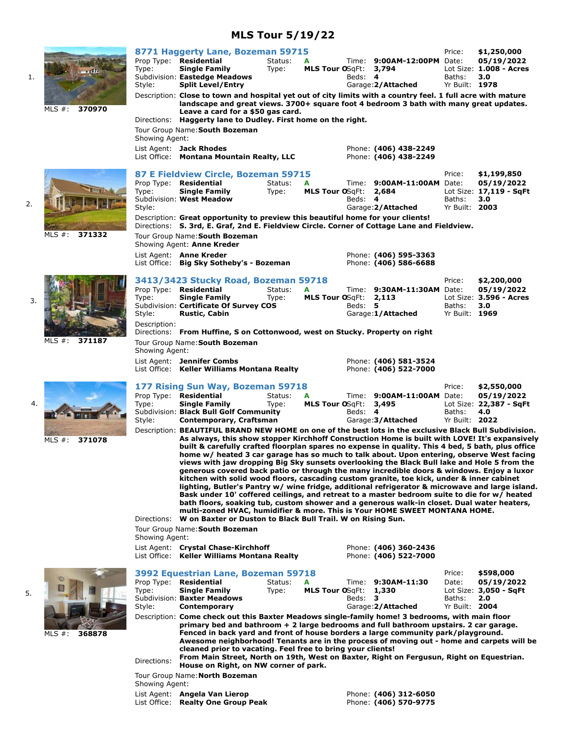# **MLS Tour 5/19/22**

1.

2.

3.

4.

5.

|                     | Type:<br>Style:                                                                                                                                  | 8771 Haggerty Lane, Bozeman 59715<br>Prop Type: Residential<br><b>Single Family</b><br>Subdivision: Eastedge Meadows<br><b>Split Level/Entry</b>                                                                                                                                                                                                                                                                                                                                                                                                                                                                                                                                                                                                                                                                                                                                                                                                                                                                                                                                                                                                 | Status:<br>Type: | A<br>MLS Tour OSqFt: 3,794 | Beds: 4 | Time: 9:00AM-12:00PM Date:<br>Garage: 2/Attached | Price:<br>Baths:<br>Yr Built: 1978          | \$1,250,000<br>05/19/2022<br>Lot Size: 1.008 - Acres<br>3.0 |
|---------------------|--------------------------------------------------------------------------------------------------------------------------------------------------|--------------------------------------------------------------------------------------------------------------------------------------------------------------------------------------------------------------------------------------------------------------------------------------------------------------------------------------------------------------------------------------------------------------------------------------------------------------------------------------------------------------------------------------------------------------------------------------------------------------------------------------------------------------------------------------------------------------------------------------------------------------------------------------------------------------------------------------------------------------------------------------------------------------------------------------------------------------------------------------------------------------------------------------------------------------------------------------------------------------------------------------------------|------------------|----------------------------|---------|--------------------------------------------------|---------------------------------------------|-------------------------------------------------------------|
| MLS $#$ :<br>370970 | Directions:<br>Showing Agent:                                                                                                                    | Description: Close to town and hospital yet out of city limits with a country feel. 1 full acre with mature<br>landscape and great views. 3700+ square foot 4 bedroom 3 bath with many great updates.<br>Leave a card for a \$50 gas card.<br>Haggerty lane to Dudley. First home on the right.<br>Tour Group Name: South Bozeman                                                                                                                                                                                                                                                                                                                                                                                                                                                                                                                                                                                                                                                                                                                                                                                                                |                  |                            |         |                                                  |                                             |                                                             |
|                     |                                                                                                                                                  | List Agent: Jack Rhodes<br>List Office: Montana Mountain Realty, LLC                                                                                                                                                                                                                                                                                                                                                                                                                                                                                                                                                                                                                                                                                                                                                                                                                                                                                                                                                                                                                                                                             |                  |                            |         | Phone: (406) 438-2249<br>Phone: (406) 438-2249   |                                             |                                                             |
|                     | Type:<br>Style:                                                                                                                                  | 87 E Fieldview Circle, Bozeman 59715<br>Prop Type: Residential<br><b>Single Family</b><br>Subdivision: West Meadow                                                                                                                                                                                                                                                                                                                                                                                                                                                                                                                                                                                                                                                                                                                                                                                                                                                                                                                                                                                                                               | Status:<br>Type: | A<br>MLS Tour OSqFt: 2,684 | Beds: 4 | Time: 9:00AM-11:00AM Date:<br>Garage: 2/Attached | Price:<br>Baths:<br>Yr Built: 2003          | \$1,199,850<br>05/19/2022<br>Lot Size: 17,119 - SqFt<br>3.0 |
| MLS $#$ :<br>371332 |                                                                                                                                                  | Description: Great opportunity to preview this beautiful home for your clients!<br>Directions: S. 3rd, E. Graf, 2nd E. Fieldview Circle. Corner of Cottage Lane and Fieldview.<br>Tour Group Name: South Bozeman<br>Showing Agent: Anne Kreder                                                                                                                                                                                                                                                                                                                                                                                                                                                                                                                                                                                                                                                                                                                                                                                                                                                                                                   |                  |                            |         |                                                  |                                             |                                                             |
|                     |                                                                                                                                                  | List Agent: Anne Kreder<br>List Office: Big Sky Sotheby's - Bozeman                                                                                                                                                                                                                                                                                                                                                                                                                                                                                                                                                                                                                                                                                                                                                                                                                                                                                                                                                                                                                                                                              |                  |                            |         | Phone: (406) 595-3363<br>Phone: (406) 586-6688   |                                             |                                                             |
|                     | Type:<br>Style:                                                                                                                                  | 3413/3423 Stucky Road, Bozeman 59718<br>Prop Type: Residential<br><b>Single Family</b><br>Subdivision: Certificate Of Survey COS<br><b>Rustic, Cabin</b>                                                                                                                                                                                                                                                                                                                                                                                                                                                                                                                                                                                                                                                                                                                                                                                                                                                                                                                                                                                         | Status:<br>Type: | A<br>MLS Tour OSqFt: 2,113 | Beds: 5 | Time: 9:30AM-11:30AM Date:<br>Garage:1/Attached  | Price:<br>Baths:<br>Yr Built: 1969          | \$2,200,000<br>05/19/2022<br>Lot Size: 3.596 - Acres<br>3.0 |
| MLS $#$ :<br>371187 | Description:<br>Directions: From Huffine, S on Cottonwood, west on Stucky. Property on right<br>Tour Group Name: South Bozeman<br>Showing Agent: |                                                                                                                                                                                                                                                                                                                                                                                                                                                                                                                                                                                                                                                                                                                                                                                                                                                                                                                                                                                                                                                                                                                                                  |                  |                            |         |                                                  |                                             |                                                             |
|                     |                                                                                                                                                  | List Agent: Jennifer Combs<br>List Office: Keller Williams Montana Realty                                                                                                                                                                                                                                                                                                                                                                                                                                                                                                                                                                                                                                                                                                                                                                                                                                                                                                                                                                                                                                                                        |                  |                            |         | Phone: (406) 581-3524<br>Phone: (406) 522-7000   |                                             |                                                             |
|                     | Type:<br>Style:                                                                                                                                  | 177 Rising Sun Way, Bozeman 59718<br>Prop Type: Residential<br><b>Single Family</b><br>Subdivision: Black Bull Golf Community<br>Contemporary, Craftsman                                                                                                                                                                                                                                                                                                                                                                                                                                                                                                                                                                                                                                                                                                                                                                                                                                                                                                                                                                                         | Status:<br>Type: | MLS Tour OSgFt: 3,495      | Beds: 4 | Time: 9:00AM-11:00AM Date:<br>Garage: 3/Attached | Price:<br>Baths:<br>Yr Built: 2022          | \$2,550,000<br>05/19/2022<br>Lot Size: 22,387 - SqFt<br>4.0 |
| MLS $#$ :<br>371078 | Directions:                                                                                                                                      | Description: BEAUTIFUL BRAND NEW HOME on one of the best lots in the exclusive Black Bull Subdivision.<br>As always, this show stopper Kirchhoff Construction Home is built with LOVE! It's expansively<br>built & carefully crafted floorplan spares no expense in quality. This 4 bed, 5 bath, plus office<br>home w/ heated 3 car garage has so much to talk about. Upon entering, observe West facing<br>views with jaw dropping Big Sky sunsets overlooking the Black Bull lake and Hole 5 from the<br>generous covered back patio or through the many incredible doors & windows. Enjoy a luxor<br>kitchen with solid wood floors, cascading custom granite, toe kick, under & inner cabinet<br>lighting, Butler's Pantry w/ wine fridge, additional refrigerator & microwave and large island.<br>Bask under 10' coffered ceilings, and retreat to a master bedroom suite to die for w/ heated<br>bath floors, soaking tub, custom shower and a generous walk-in closet. Dual water heaters,<br>multi-zoned HVAC, humidifier & more. This is Your HOME SWEET MONTANA HOME.<br>W on Baxter or Duston to Black Bull Trail. W on Rising Sun. |                  |                            |         |                                                  |                                             |                                                             |
|                     | Showing Agent:                                                                                                                                   | Tour Group Name: South Bozeman                                                                                                                                                                                                                                                                                                                                                                                                                                                                                                                                                                                                                                                                                                                                                                                                                                                                                                                                                                                                                                                                                                                   |                  |                            |         |                                                  |                                             |                                                             |
|                     |                                                                                                                                                  | List Agent: Crystal Chase-Kirchhoff<br>List Office: Keller Williams Montana Realty                                                                                                                                                                                                                                                                                                                                                                                                                                                                                                                                                                                                                                                                                                                                                                                                                                                                                                                                                                                                                                                               |                  |                            |         | Phone: (406) 360-2436<br>Phone: (406) 522-7000   |                                             |                                                             |
|                     | Type:<br>Style:                                                                                                                                  | 3992 Equestrian Lane, Bozeman 59718<br>Prop Type: Residential<br><b>Single Family</b><br>Subdivision: Baxter Meadows<br>Contemporary                                                                                                                                                                                                                                                                                                                                                                                                                                                                                                                                                                                                                                                                                                                                                                                                                                                                                                                                                                                                             | Status:<br>Type: | A<br>MLS Tour OSgFt: 1,330 | Beds: 3 | Time: 9:30AM-11:30<br>Garage: 2/Attached         | Price:<br>Date:<br>Baths:<br>Yr Built: 2004 | \$598,000<br>05/19/2022<br>Lot Size: 3,050 - SqFt<br>2.0    |
| 368878<br>MLS $#$ : | Directions:                                                                                                                                      | Description: Come check out this Baxter Meadows single-family home! 3 bedrooms, with main floor<br>primary bed and bathroom + 2 large bedrooms and full bathroom upstairs. 2 car garage.<br>Fenced in back yard and front of house borders a large community park/playground.<br>Awesome neighborhood! Tenants are in the process of moving out - home and carpets will be<br>cleaned prior to vacating. Feel free to bring your clients!<br>From Main Street, North on 19th, West on Baxter, Right on Fergusun, Right on Equestrian.<br>House on Right, on NW corner of park.                                                                                                                                                                                                                                                                                                                                                                                                                                                                                                                                                                   |                  |                            |         |                                                  |                                             |                                                             |
|                     | Showing Agent:                                                                                                                                   | Tour Group Name: North Bozeman                                                                                                                                                                                                                                                                                                                                                                                                                                                                                                                                                                                                                                                                                                                                                                                                                                                                                                                                                                                                                                                                                                                   |                  |                            |         |                                                  |                                             |                                                             |
|                     |                                                                                                                                                  | List Agent: Angela Van Lierop                                                                                                                                                                                                                                                                                                                                                                                                                                                                                                                                                                                                                                                                                                                                                                                                                                                                                                                                                                                                                                                                                                                    |                  |                            |         | Phone: (406) 312-6050                            |                                             |                                                             |

List Office: **Realty One Group Peak** Phone: **(406) 570-9775**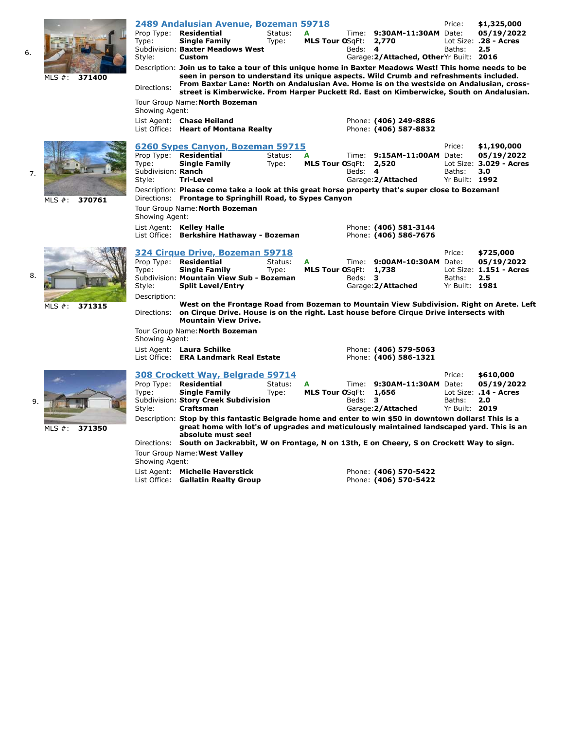| MLS $#$ :<br>371400 | Type:<br>Style:<br>Directions:<br>Showing Agent: | 2489 Andalusian Avenue, Bozeman 59718<br>Prop Type: Residential<br><b>Single Family</b><br>Subdivision: Baxter Meadows West<br><b>Custom</b><br>Description: Join us to take a tour of this unique home in Baxter Meadows West! This home needs to be<br>seen in person to understand its unique aspects. Wild Crumb and refreshments included.<br>From Baxter Lane: North on Andalusian Ave. Home is on the westside on Andalusian, cross-<br>street is Kimberwicke. From Harper Puckett Rd. East on Kimberwicke, South on Andalusian.<br>Tour Group Name: North Bozeman<br>List Agent: Chase Heiland | Status:<br>Type: | A<br>MLS Tour OSqFt: 2,770  | Beds: 4        | Time: 9:30AM-11:30AM Date:<br>Garage: 2/Attached, Other Yr Built: 2016<br>Phone: (406) 249-8886 | Price:<br>Baths:                   | \$1,325,000<br>05/19/2022<br>Lot Size: .28 - Acres<br>2.5   |
|---------------------|--------------------------------------------------|--------------------------------------------------------------------------------------------------------------------------------------------------------------------------------------------------------------------------------------------------------------------------------------------------------------------------------------------------------------------------------------------------------------------------------------------------------------------------------------------------------------------------------------------------------------------------------------------------------|------------------|-----------------------------|----------------|-------------------------------------------------------------------------------------------------|------------------------------------|-------------------------------------------------------------|
| MLS $#$ :<br>370761 | Type:<br>Subdivision: Ranch<br>Style:            | List Office: Heart of Montana Realty<br>6260 Sypes Canyon, Bozeman 59715<br>Prop Type: Residential<br><b>Single Family</b><br><b>Tri-Level</b><br>Description: Please come take a look at this great horse property that's super close to Bozeman!<br>Directions: Frontage to Springhill Road, to Sypes Canyon                                                                                                                                                                                                                                                                                         | Status:<br>Type: | <b>MLS Tour OSgFt:</b>      | Beds: 4        | Phone: (406) 587-8832<br>Time: 9:15AM-11:00AM Date:<br>2,520<br>Garage: 2/Attached              | Price:<br>Baths:<br>Yr Built: 1992 | \$1,190,000<br>05/19/2022<br>Lot Size: 3.029 - Acres<br>3.0 |
|                     | Showing Agent:                                   | Tour Group Name: North Bozeman<br>List Agent: Kelley Halle<br>List Office: Berkshire Hathaway - Bozeman                                                                                                                                                                                                                                                                                                                                                                                                                                                                                                |                  |                             |                | Phone: (406) 581-3144<br>Phone: (406) 586-7676                                                  |                                    |                                                             |
|                     | Prop Type:<br>Type:<br>Style:                    | 324 Cirque Drive, Bozeman 59718<br><b>Residential</b><br><b>Single Family</b><br>Subdivision: Mountain View Sub - Bozeman<br><b>Split Level/Entry</b>                                                                                                                                                                                                                                                                                                                                                                                                                                                  | Status:<br>Type: | <b>MLS Tour OSgFt:</b>      | Time:<br>Beds: | 9:00AM-10:30AM Date:<br>1,738<br>3<br>Garage: 2/Attached                                        | Price:<br>Baths:<br>Yr Built: 1981 | \$725,000<br>05/19/2022<br>Lot Size: 1.151 - Acres<br>2.5   |
| MLS $#$ :<br>371315 | Description:                                     | West on the Frontage Road from Bozeman to Mountain View Subdivision. Right on Arete. Left<br>Directions: on Cirque Drive. House is on the right. Last house before Cirque Drive intersects with<br><b>Mountain View Drive.</b><br>Tour Group Name: North Bozeman                                                                                                                                                                                                                                                                                                                                       |                  |                             |                |                                                                                                 |                                    |                                                             |
|                     | Showing Agent:                                   | List Agent: Laura Schilke<br>List Office: ERA Landmark Real Estate                                                                                                                                                                                                                                                                                                                                                                                                                                                                                                                                     |                  |                             |                | Phone: (406) 579-5063<br>Phone: (406) 586-1321                                                  |                                    |                                                             |
|                     | Type:<br>Style:                                  | 308 Crockett Way, Belgrade 59714<br>Prop Type: Residential<br><b>Single Family</b><br>Subdivision: Story Creek Subdivision<br>Craftsman                                                                                                                                                                                                                                                                                                                                                                                                                                                                | Status:<br>Type: | A<br><b>MLS Tour OSgFt:</b> | Beds: 3        | Time: 9:30AM-11:30AM Date:<br>1,656<br>Garage: 2/Attached                                       | Price:<br>Baths:<br>Yr Built: 2019 | \$610,000<br>05/19/2022<br>Lot Size: .14 - Acres<br>2.0     |
| MLS $#$ :<br>371350 | Directions:                                      | Description: Stop by this fantastic Belgrade home and enter to win \$50 in downtown dollars! This is a<br>great home with lot's of upgrades and meticulously maintained landscaped yard. This is an<br>absolute must see!<br>South on Jackrabbit, W on Frontage, N on 13th, E on Cheery, S on Crockett Way to sign.                                                                                                                                                                                                                                                                                    |                  |                             |                |                                                                                                 |                                    |                                                             |
|                     | Chouina Aa                                       | Tour Group Name: West Valley                                                                                                                                                                                                                                                                                                                                                                                                                                                                                                                                                                           |                  |                             |                |                                                                                                 |                                    |                                                             |

6.

7.

8.

9.

Showing Agent: List Agent: **Michelle Haverstick** Phone: **(406) 570-5422** List Office: **Gallatin Realty Group Phone: (406) 570-5422**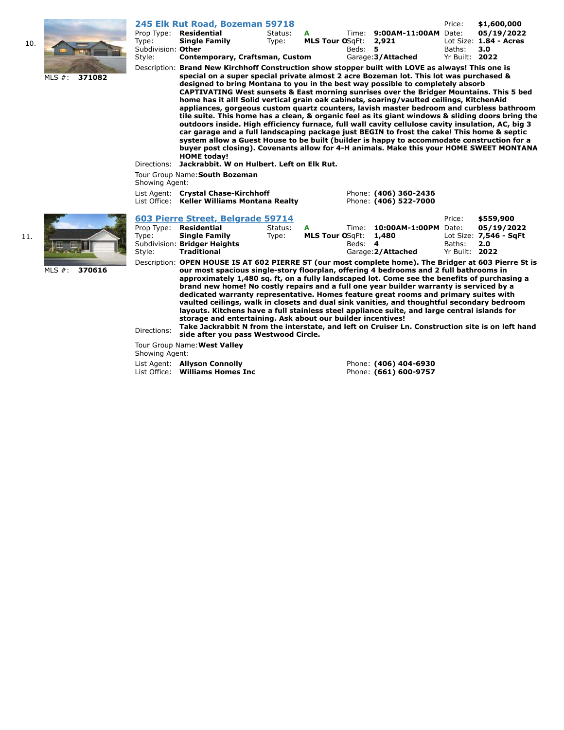

| \$1,600,000<br>05/19/2022                                                                                                                                                                                                                                                                                                                                                                                                                                                                                                                                                                                                                                                                                                                                                                                                                                                                                                                                                                                                                                        |  |  |  |  |  |  |  |  |
|------------------------------------------------------------------------------------------------------------------------------------------------------------------------------------------------------------------------------------------------------------------------------------------------------------------------------------------------------------------------------------------------------------------------------------------------------------------------------------------------------------------------------------------------------------------------------------------------------------------------------------------------------------------------------------------------------------------------------------------------------------------------------------------------------------------------------------------------------------------------------------------------------------------------------------------------------------------------------------------------------------------------------------------------------------------|--|--|--|--|--|--|--|--|
| Lot Size: 1.84 - Acres                                                                                                                                                                                                                                                                                                                                                                                                                                                                                                                                                                                                                                                                                                                                                                                                                                                                                                                                                                                                                                           |  |  |  |  |  |  |  |  |
| 3.0                                                                                                                                                                                                                                                                                                                                                                                                                                                                                                                                                                                                                                                                                                                                                                                                                                                                                                                                                                                                                                                              |  |  |  |  |  |  |  |  |
| Yr Built: 2022                                                                                                                                                                                                                                                                                                                                                                                                                                                                                                                                                                                                                                                                                                                                                                                                                                                                                                                                                                                                                                                   |  |  |  |  |  |  |  |  |
| Description: Brand New Kirchhoff Construction show stopper built with LOVE as always! This one is<br>special on a super special private almost 2 acre Bozeman lot. This lot was purchased &<br>designed to bring Montana to you in the best way possible to completely absorb<br>CAPTIVATING West sunsets & East morning sunrises over the Bridger Mountains. This 5 bed<br>home has it all! Solid vertical grain oak cabinets, soaring/vaulted ceilings, KitchenAid<br>appliances, gorgeous custom quartz counters, lavish master bedroom and curbless bathroom<br>tile suite. This home has a clean, & organic feel as its giant windows & sliding doors bring the<br>outdoors inside. High efficiency furnace, full wall cavity cellulose cavity insulation, AC, big 3<br>car garage and a full landscaping package just BEGIN to frost the cake! This home & septic<br>system allow a Guest House to be built (builder is happy to accommodate construction for a<br>buyer post closing). Covenants allow for 4-H animals. Make this your HOME SWEET MONTANA |  |  |  |  |  |  |  |  |
| Jackrabbit. W on Hulbert. Left on Elk Rut.<br>Directions:<br>Tour Group Name: South Bozeman                                                                                                                                                                                                                                                                                                                                                                                                                                                                                                                                                                                                                                                                                                                                                                                                                                                                                                                                                                      |  |  |  |  |  |  |  |  |
|                                                                                                                                                                                                                                                                                                                                                                                                                                                                                                                                                                                                                                                                                                                                                                                                                                                                                                                                                                                                                                                                  |  |  |  |  |  |  |  |  |
|                                                                                                                                                                                                                                                                                                                                                                                                                                                                                                                                                                                                                                                                                                                                                                                                                                                                                                                                                                                                                                                                  |  |  |  |  |  |  |  |  |
|                                                                                                                                                                                                                                                                                                                                                                                                                                                                                                                                                                                                                                                                                                                                                                                                                                                                                                                                                                                                                                                                  |  |  |  |  |  |  |  |  |
| \$559,900                                                                                                                                                                                                                                                                                                                                                                                                                                                                                                                                                                                                                                                                                                                                                                                                                                                                                                                                                                                                                                                        |  |  |  |  |  |  |  |  |
|                                                                                                                                                                                                                                                                                                                                                                                                                                                                                                                                                                                                                                                                                                                                                                                                                                                                                                                                                                                                                                                                  |  |  |  |  |  |  |  |  |

MLS #: **370616**

Description: **OPEN HOUSE IS AT 602 PIERRE ST (our most complete home). The Bridger at 603 Pierre St is our most spacious single-story floorplan, offering 4 bedrooms and 2 full bathrooms in approximately 1,480 sq. ft, on a fully landscaped lot. Come see the benefits of purchasing a brand new home! No costly repairs and a full one year builder warranty is serviced by a dedicated warranty representative. Homes feature great rooms and primary suites with vaulted ceilings, walk in closets and dual sink vanities, and thoughtful secondary bedroom layouts. Kitchens have a full stainless steel appliance suite, and large central islands for storage and entertaining. Ask about our builder incentives!** Directions: **Take Jackrabbit N from the interstate, and left on Cruiser Ln. Construction site is on left hand** 

Tour Group Name:**West Valley**

Showing Agent:

 List Agent: **Allyson Connolly** Phone: **(406) 404-6930** List Office: **Williams Homes Inc** Phone: **(661) 600-9757**

**side after you pass Westwood Circle.**

10.

11.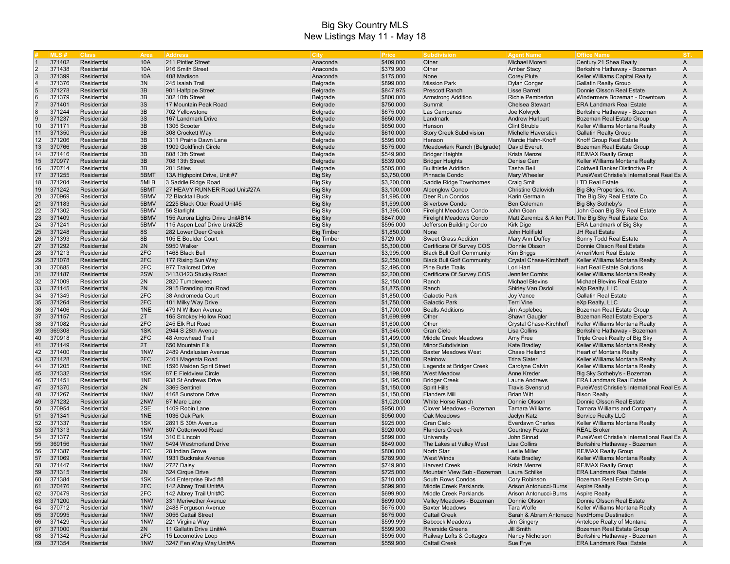|                | MLS#             | <b>Class</b>               | Area           | <b>Address</b>                             | City               | Price                  | <b>Subdivision</b>                                   | <b>Agent Name</b>                            | <b>Office Name</b>                                            | IST.           |
|----------------|------------------|----------------------------|----------------|--------------------------------------------|--------------------|------------------------|------------------------------------------------------|----------------------------------------------|---------------------------------------------------------------|----------------|
|                | 371402           | Residential                | 10A            | 211 Pintler Street                         | Anaconda           | \$409,000              | Other                                                | Michael Moreni                               | Century 21 Shea Realty                                        | A              |
| $\overline{2}$ | 371438           | Residential                | 10A            | 916 Smith Street                           | Anaconda           | \$379,900              | Other                                                | <b>Amber Stacy</b>                           | Berkshire Hathaway - Bozeman                                  | A              |
|                | 371399           | Residential                | 10A            | 408 Madison                                | Anaconda           | \$175,000              | None                                                 | <b>Corey Plute</b>                           | Keller Williams Capital Realty                                | A              |
|                | 371376           | Residential                | 3N             | 245 Isaiah Trail                           | Belgrade           | \$899,000              | <b>Mission Park</b>                                  | <b>Dylan Conger</b>                          | <b>Gallatin Realty Group</b>                                  | Α              |
|                | 371278           | Residential                | 3B             | 901 Halfpipe Street                        | Belgrade           | \$847,975              | <b>Prescott Ranch</b>                                | <b>Lisse Barrett</b>                         | Donnie Olsson Real Estate                                     | A              |
| 6              | 371379           | Residential                | 3B             | 302 10th Street                            | Belgrade           | \$800,000              | <b>Armstrong Addition</b>                            | Richie Pemberton                             | Windermere Bozeman - Downtown                                 | A              |
|                | 371401           | Residential                | 3S             | 17 Mountain Peak Road                      | Belgrade           | \$750,000              | Summit                                               | <b>Chelsea Stewart</b>                       | <b>ERA Landmark Real Estate</b>                               | A              |
| 8              | 371244           | Residential                | 3B             | 702 Yellowstone                            | Belgrade           | \$675,000              | Las Campanas                                         | Joe Kolwyck                                  | Berkshire Hathaway - Bozeman                                  | A              |
|                | 371237           | Residential                | 3S             | 167 Landmark Drive                         | Belgrade           | \$650,000              | Landmark                                             | Andrew Hurlburt                              | Bozeman Real Estate Group                                     | A              |
| 10             | 371171           | Residential                | 3B             | 1306 Scooter                               | Belgrade           | \$650,000              | Henson                                               | <b>Clint Struble</b>                         | Keller Williams Montana Realty                                | A              |
| 11             | 371350           | Residential                | 3B             | 308 Crockett Way                           | Belgrade           | \$610,000              | <b>Story Creek Subdivision</b>                       | <b>Michelle Haverstick</b>                   | <b>Gallatin Realty Group</b>                                  | A              |
| 12             | 371206           | Residential                | 3B             | 1311 Prairie Dawn Lane                     | Belgrade           | \$595,000              | Henson                                               | Marcie Hahn-Knoff                            | Knoff Group Real Estate                                       | A              |
| 13             | 370766           | Residential                | 3B             | 1909 Goldfinch Circle                      | Belgrade           | \$575,000              | Meadowlark Ranch (Belgrade)                          | David Everett                                | Bozeman Real Estate Group                                     | A              |
| 14             | 371416           | Residential                | 3B             | 608 13th Street                            | Belgrade           | \$549,900              | <b>Bridger Heights</b>                               | Krista Menzel                                | <b>RE/MAX Realty Group</b>                                    | A              |
| 15             | 370977           | Residential                | 3B             | 708 13th Street                            | Belgrade           | \$539,000              | <b>Bridger Heights</b>                               | Denise Carr                                  | Keller Williams Montana Realty                                | A              |
| 16             | 370714           | Residential                | 3B             | 201 Stiles                                 | Belgrade           | \$505,000              | <b>Bullthistle Addition</b>                          | Tasha Bell                                   | Coldwell Banker Distinctive Pr                                | A              |
| 17             | 371255           | Residential                | 5BMT           | 13A Highpoint Drive, Unit #7               | <b>Big Sky</b>     | \$3,750,000            | Pinnacle Condo                                       | <b>Mary Wheeler</b>                          | PureWest Christie's International Real Est A                  |                |
| 18             | 371204           | Residential                | 5MLB           | 3 Saddle Ridge Road                        | <b>Big Sky</b>     | \$3,200,000            | Saddle Ridge Townhomes                               | Craig Smit                                   | <b>LTD Real Estate</b>                                        | $\overline{A}$ |
| 19             | 371242           | Residential                | 5BMT           | 27 HEAVY RUNNER Road Unit#27A              | Big Sky            | \$3,100,000            | <b>Alpenglow Condo</b>                               | <b>Christine Galovich</b>                    | Big Sky Properties, Inc.                                      | A              |
| 20             | 370969           | Residential                | 5BMV           | 72 Blacktail Buck                          | <b>Big Sky</b>     | \$1,995,000            | Deer Run Condos                                      | Karin Germain                                | The Big Sky Real Estate Co.                                   | A              |
| 21             | 371183           | Residential                | 5BMV           | 2225 Black Otter Road Unit#5               | <b>Big Sky</b>     | \$1,599,000            | <b>Silverbow Condo</b>                               | <b>Ben Coleman</b>                           | Big Sky Sotheby's                                             | A              |
| 22             | 371302           | Residential                | 5BMV           | 56 Starlight                               | <b>Big Sky</b>     | \$1,395,000            | <b>Firelight Meadows Condo</b>                       | John Goan                                    | John Goan Big Sky Real Estate                                 | A              |
| 23             | 371409           | Residential                | 5BMV           | 155 Aurora Lights Drive Unit#B14           | <b>Big Sky</b>     | \$847,000              | <b>Firelight Meadows Condo</b>                       |                                              | Matt Zaremba & Allen Pott The Big Sky Real Estate Co.         | A              |
| 24             | 371241           | Residential                | 5BMV           | 115 Aspen Leaf Drive Unit#2B               | <b>Big Sky</b>     | \$595,000              | Jefferson Building Condo                             | <b>Kirk Dige</b>                             | <b>ERA Landmark of Big Sky</b>                                | Α              |
| 25             | 371248           | Residential                | <b>8S</b>      | 282 Lower Deer Creek                       | <b>Big Timber</b>  | \$1,850,000            | None                                                 | John Holifield                               | <b>JH Real Estate</b>                                         | A              |
| 26             | 371393           | Residential                | 8B             | 105 E Boulder Court                        | <b>Big Timber</b>  | \$729,000              | <b>Sweet Grass Addition</b>                          | Mary Ann Duffey                              | Sonny Todd Real Estate                                        | A              |
| 27             | 371292           | <b>Residential</b>         | 2N             | 5950 Walker                                | Bozeman            | \$5,300,000            | Certificate Of Survey COS                            | Donnie Olsson                                | Donnie Olsson Real Estate                                     | A              |
| 28             | 371213           | Residential                | 2FC            | 1468 Black Bull                            | Bozeman            | \$3,995,000            | <b>Black Bull Golf Community</b>                     | Kim Briggs                                   | <b>AmeriMont Real Estate</b>                                  | A              |
| 29             | 371078           | Residential                | 2FC            | 177 Rising Sun Way                         | Bozeman            | \$2,550,000            | <b>Black Bull Golf Community</b>                     | Crystal Chase-Kirchhoff                      | Keller Williams Montana Realty                                | A              |
| 30             | 370685           | Residential                | 2FC            | 977 Trailcrest Drive                       | Bozeman            | \$2,495,000            | <b>Pine Butte Trails</b>                             | Lori Hart                                    | <b>Hart Real Estate Solutions</b>                             | A              |
| 31             | 371187           | Residential                | 2SW            | 3413/3423 Stucky Road                      | Bozeman            | \$2,200,000            | Certificate Of Survey COS                            | Jennifer Combs                               | Keller Williams Montana Realty                                | A              |
| 32             | 371009           | Residential                | 2N             | 2820 Tumbleweed                            | Bozeman            | \$2,150,000            | Ranch                                                | <b>Michael Blevins</b>                       | <b>Michael Blevins Real Estate</b>                            | A              |
| 33             | 371145           | Residential                | 2N             | 2915 Branding Iron Road                    | Bozeman            | \$1,875,000            | Ranch                                                | <b>Shirley Van Osdol</b>                     | eXp Realty, LLC                                               | A              |
| 34             | 371349           | Residential                | 2FC            | 38 Andromeda Court                         | Bozeman            | \$1,850,000            | <b>Galactic Park</b>                                 | <b>Joy Vance</b>                             | <b>Gallatin Real Estate</b>                                   | A              |
| 35             | 371264           | Residential                | 2FC            | 101 Milky Way Drive                        | Bozeman            | \$1,750,000            | <b>Galactic Park</b>                                 | <b>Terri Vine</b>                            | eXp Realty, LLC                                               | A              |
| 36             | 371406           | Residential                | 1NE            | 479 N Willson Avenue                       | Bozeman            | \$1,700,000            | <b>Bealls Additions</b>                              | Jim Applebee                                 | Bozeman Real Estate Group                                     | A              |
| 37             | 371157           | Residential                | 2T             | 165 Smokey Hollow Road                     | Bozeman            | \$1,699,999            | Other                                                | <b>Shawn Gaugler</b>                         | <b>Bozeman Real Estate Experts</b>                            | A              |
| 38             | 371082           | Residential                | 2FC            | 245 Elk Rut Road                           | Bozeman            | \$1,600,000            | Other                                                | Crystal Chase-Kirchhoff                      | Keller Williams Montana Realty                                | Α              |
| 39             | 369308           | Residential                | 1SK            | 2944 S 28th Avenue                         | Bozeman            | \$1,545,000            | <b>Gran Cielo</b>                                    | Lisa Collins                                 | Berkshire Hathaway - Bozeman                                  | Α              |
| 40             | 370918           | Residential                | 2FC            | 48 Arrowhead Trail                         | Bozeman            | \$1,499,000            | Middle Creek Meadows                                 | Amy Free                                     | Triple Creek Realty of Big Sky                                | A              |
| 41             | 371149           | Residential                | 2T             | 650 Mountain Elk                           | Bozeman            | \$1,350,000            | <b>Minor Subdivision</b>                             | Kate Bradley                                 | Keller Williams Montana Realty                                | A              |
| 42             | 371400           | Residential                | 1NW            | 2489 Andalusian Avenue                     | Bozeman            | \$1,325,000            | <b>Baxter Meadows West</b>                           | Chase Heiland                                | Heart of Montana Realty                                       | A              |
| 43             | 371428           | Residential                | 2FC            | 2401 Magenta Road                          | Bozeman            | \$1,300,000            | Rainbow                                              | <b>Trina Slater</b>                          | Keller Williams Montana Realty                                | A              |
| 44             | 371205           | Residential                | 1NE            | 1596 Maiden Spirit Street                  | Bozeman            | \$1,250,000            | Legends at Bridger Creek                             | Carolyne Calvin                              | Keller Williams Montana Realty                                | A              |
| 45             | 371332           | Residential                | 1SK            | 87 E Fieldview Circle                      | Bozeman            | \$1,199,850            | <b>West Meadow</b>                                   | Anne Kreder                                  | Big Sky Sotheby's - Bozeman                                   | A              |
| 46<br>47       | 371451           | Residential                | 1NE            | 938 St Andrews Drive                       | Bozeman            | \$1,195,000            | <b>Bridger Creek</b>                                 | Laurie Andrews                               | <b>ERA Landmark Real Estate</b>                               | A              |
|                | 371370           | Residential                | 2N             | 3369 Sentinel                              | Bozeman            | \$1,150,000            | <b>Spirit Hills</b>                                  | <b>Travis Svensrud</b>                       | PureWest Christie's International Real Esi A                  |                |
| 48             | 371267           | Residential                | 1NW            | 4168 Sunstone Drive                        | Bozeman            | \$1,150,000            | <b>Flanders Mill</b>                                 | <b>Brian Witt</b>                            | <b>Bison Realty</b>                                           | A              |
| 49<br>50       | 371232           | Residential<br>Residential | 2NW<br>2SE     | 87 Mare Lane                               | Bozeman            | \$1,020,000            | <b>White Horse Ranch</b><br>Clover Meadows - Bozeman | Donnie Olsson                                | Donnie Olsson Real Estate                                     | A              |
| 51             | 370954           | Residential                | 1NE            | 1409 Robin Lane<br>1036 Oak Park           | Bozeman            | \$950,000              |                                                      | <b>Tamara Williams</b>                       | <b>Tamara Williams and Company</b>                            | A<br>A         |
|                | 371341           |                            |                |                                            | Bozeman            | \$950,000              | Oak Meadows                                          | Jaclyn Katz                                  | Service Realty LLC                                            |                |
| 52<br>53       | 371337<br>371313 | Residential<br>Residential | 1SK<br>1NW     | 2891 S 30th Avenue<br>807 Cottonwood Road  | Bozeman<br>Bozeman | \$925,000              | <b>Gran Cielo</b>                                    | Everdawn Charles                             | Keller Williams Montana Realty<br><b>REAL Broker</b>          | A<br>A         |
| 54             |                  | Residential                | 1SM            | 310 E Lincoln                              |                    | \$920,000              | <b>Flanders Creek</b>                                | <b>Courtney Foster</b>                       | PureWest Christie's International Real Est A                  |                |
| 55             | 371377<br>369156 | Residential                | 1NW            |                                            | Bozeman            | \$899,000<br>\$849,000 | University<br>The Lakes at Valley West               | John Sinrud<br>Lisa Collins                  | Berkshire Hathaway - Bozeman                                  | A              |
| 56             | 371387           |                            | 2FC            | 5494 Westmorland Drive<br>28 Indian Grove  | Bozeman            |                        | North Star                                           | <b>Leslie Miller</b>                         |                                                               |                |
| 57             | 371069           | Residential<br>Residential | 1NW            | 1931 Buckrake Avenue                       | Bozeman            | \$800,000<br>\$789,900 | <b>West Winds</b>                                    |                                              | <b>RE/MAX Realty Group</b><br>Keller Williams Montana Realty  | A<br>A         |
|                |                  |                            |                |                                            | Bozeman            |                        |                                                      | Kate Bradley                                 |                                                               |                |
| 58<br>59       | 371447           | Residential                | 1 <sub>N</sub> | 2727 Daisy                                 | <b>Bozeman</b>     | \$749,900              | <b>Harvest Creek</b><br>Mountain View Sub - Bozeman  | Krista Menzel                                | <b>RE/MAX Realty Group</b><br><b>ERA Landmark Real Estate</b> | A              |
| 60             | 371315<br>371384 | Residential<br>Residential | 2N<br>1SK      | 324 Cirque Drive<br>544 Enterprise Blvd #8 | Bozeman<br>Bozeman | \$725,000<br>\$710,000 | South Rows Condos                                    | Laura Schilke<br>Cory Robinson               | Bozeman Real Estate Group                                     | A              |
| 61             | 370476           | Residential                | 2FC            | 142 Albrey Trail Unit#A                    | Bozeman            | \$699,900              | <b>Middle Creek Parklands</b>                        | Arison Antonucci-Burns                       | <b>Aspire Realty</b>                                          | A<br>A         |
| 62             | 370479           | Residential                | 2FC            | 142 Albrey Trail Unit#C                    | Bozeman            | \$699,900              | <b>Middle Creek Parklands</b>                        | Arison Antonucci-Burns                       | <b>Aspire Realty</b>                                          | A              |
| 63             | 371200           |                            | 1NW            | 331 Meriwether Avenue                      |                    | \$699,000              |                                                      | Donnie Olsson                                | Donnie Olsson Real Estate                                     |                |
| 64             | 370712           | Residential<br>Residential | 1NW            | 2488 Ferguson Avenue                       | Bozeman<br>Bozeman | \$675,000              | Valley Meadows - Bozeman<br><b>Baxter Meadows</b>    | Tara Wolfe                                   | Keller Williams Montana Realty                                | Α<br>A         |
| 65             | 370995           | Residential                | 1NW            | 3056 Cattail Street                        | Bozeman            | \$675,000              | <b>Cattail Creek</b>                                 | Sarah & Abram Antonucci NextHome Destination |                                                               | Α              |
| 66             | 371429           | Residential                | 1NW            | 221 Virginia Way                           | Bozeman            | \$599,999              | <b>Babcock Meadows</b>                               | Jim Gingery                                  | Antelope Realty of Montana                                    | A              |
| 67             | 371000           | Residential                | 2N             | 11 Gallatin Drive Unit#A                   | Bozeman            | \$599,900              | <b>Riverside Greens</b>                              | <b>Jill Smith</b>                            | Bozeman Real Estate Group                                     | A              |
| 68             | 371342           | Residential                | 2FC            | 15 Locomotive Loop                         | Bozeman            | \$595,000              | Railway Lofts & Cottages                             | Nancy Nicholson                              | Berkshire Hathaway - Bozeman                                  | A              |
| 69             | 371354           | Residential                | 1NW            | 3247 Fen Way Way Unit#A                    | Bozeman            | \$559,900              | <b>Cattail Creek</b>                                 | Sue Frye                                     | <b>ERA Landmark Real Estate</b>                               | A              |
|                |                  |                            |                |                                            |                    |                        |                                                      |                                              |                                                               |                |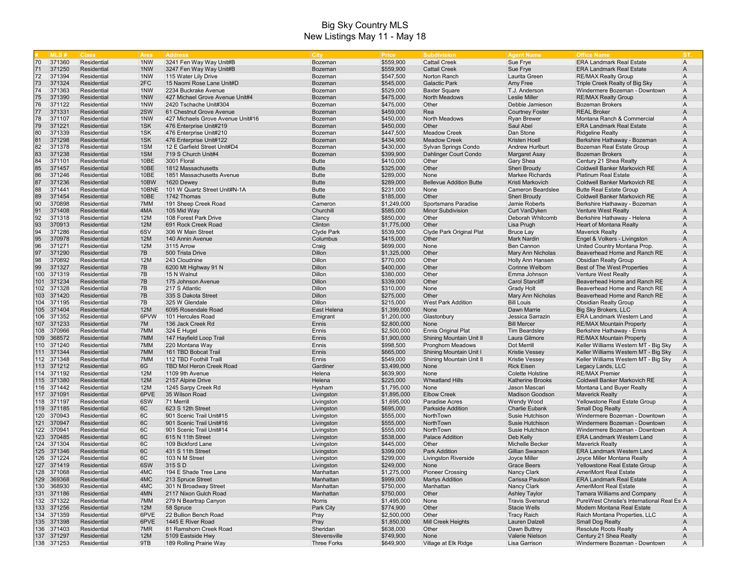|     | MIS#       | <b>Class</b> | Area       | <b>Address</b>                    | <b>City</b>        | Price       | Subdivision                    | <b>Agent Name</b>       | <b>Office Name</b>                           | IST.           |
|-----|------------|--------------|------------|-----------------------------------|--------------------|-------------|--------------------------------|-------------------------|----------------------------------------------|----------------|
| 70  | 371360     | Residential  | 1NW        | 3241 Fen Way Way Unit#B           | Bozeman            | \$559,900   | <b>Cattail Creek</b>           | Sue Frye                | <b>ERA Landmark Real Estate</b>              | $\overline{A}$ |
| 71  | 371250     | Residential  | 1NW        | 3247 Fen Way Way Unit#B           | Bozeman            | \$559,900   | <b>Cattail Creek</b>           | Sue Frye                | <b>ERA Landmark Real Estate</b>              | A              |
| 72  | 371394     | Residential  | 1NW        | 115 Water Lily Drive              | Bozeman            | \$547,500   | Norton Ranch                   | Laurita Green           | <b>RE/MAX Realty Group</b>                   | A              |
| 73  | 371324     | Residential  | 2FC        | 15 Naomi Rose Lane Unit#D         | Bozeman            | \$545,000   | <b>Galactic Park</b>           | Amy Free                | Triple Creek Realty of Big Sky               | Α              |
| 74  | 371363     | Residential  | 1NW        | 2234 Buckrake Avenue              | Bozeman            | \$529,000   | <b>Baxter Square</b>           | T.J. Anderson           | Windermere Bozeman - Downtown                | A              |
| 75  | 371390     | Residential  | 1NW        | 427 Michael Grove Avenue Unit#4   | Bozeman            | \$475,000   | <b>North Meadows</b>           | <b>Leslie Miller</b>    | <b>RE/MAX Realty Group</b>                   | A              |
| 76  | 371122     | Residential  | 1NW        | 2420 Tschache Unit#304            | Bozeman            | \$475,000   | Other                          | Debbie Jamieson         | <b>Bozeman Brokers</b>                       | A              |
| 77  | 371331     | Residential  | 2SW        | 61 Chestnut Grove Avenue          | Bozeman            | \$459,000   | Rea                            | <b>Courtney Foster</b>  | <b>REAL Broker</b>                           | A              |
| 78  | 371107     | Residential  | 1NW        | 427 Michaels Grove Avenue Unit#16 | Bozeman            | \$450,000   | North Meadows                  | <b>Ryan Brewer</b>      | Montana Ranch & Commercial                   | A              |
| 79  | 371221     | Residential  | 1SK        | 476 Enterprise Unit#219           | Bozeman            | \$450,000   | Other                          | Saul Abel               | <b>ERA Landmark Real Estate</b>              | A              |
| 80  | 371339     | Residential  | 1SK        | 476 Enterprise Unit#210           | Bozeman            | \$447,500   | <b>Meadow Creek</b>            | Dan Stone               | <b>Ridgeline Realty</b>                      | A              |
| 81  | 371298     | Residential  | 1SK        | 476 Enterprise Unit#122           | Bozeman            | \$434,900   | <b>Meadow Creek</b>            | <b>Kristen Hoell</b>    | Berkshire Hathaway - Bozeman                 | A              |
| 82  | 371378     | Residential  | 1SM        | 12 E Garfield Street Unit#D4      | Bozeman            | \$430,000   | Sylvan Springs Condo           | <b>Andrew Hurlburt</b>  | Bozeman Real Estate Group                    | Α              |
| 83  | 371238     | Residential  | 1SM        | 719 S Church Unit#4               | Bozeman            | \$399,900   | Dahlinger Court Condo          | Margaret Asay           | <b>Bozeman Brokers</b>                       | Α              |
| 84  | 371101     | Residential  | 10BE       | 3001 Floral                       | <b>Butte</b>       | \$410,000   | Other                          | Gary Shea               | Century 21 Shea Realty                       | A              |
| 85  | 371457     | Residential  | 10BE       | 1812 Massachusetts                | <b>Butte</b>       | \$325,000   | Other                          | Sheri Broudy            | <b>Coldwell Banker Markovich RE</b>          | A              |
| 86  | 371246     | Residential  | 10BE       | 1851 Massachusetts Avenue         | <b>Butte</b>       | \$289,000   | None                           | <b>Markee Richards</b>  | <b>Platinum Real Estate</b>                  | A              |
| 87  | 371236     | Residential  | 10BW       | 1620 Dewey                        | <b>Butte</b>       | \$289,000   | <b>Bellevue Addition Butte</b> | Kristi Markovich        | Coldwell Banker Markovich RE                 | A              |
| 88  | 371441     | Residential  | 10BNE      | 101 W Quartz Street Unit#N-1A     | <b>Butte</b>       | \$231,000   | None                           | Cameron Beardslee       | <b>Butte Real Estate Group</b>               | A              |
| 89  | 371454     | Residential  | 10BE       | 1742 Thomas                       | <b>Butte</b>       | \$185,000   | Other                          | Sheri Broudy            | Coldwell Banker Markovich RE                 | A              |
| 90  | 370898     | Residential  | 7MM        | 191 Sheep Creek Road              | Cameron            | \$1,249,000 | Sportsmans Paradise            | Jamie Roberts           | Berkshire Hathaway - Bozeman                 | A              |
| 91  | 371408     | Residential  | 4MA        | 105 Mid Way                       | Churchill          | \$585,000   | <b>Minor Subdivision</b>       | Curt VanDyken           | <b>Venture West Realty</b>                   | A              |
| 92  | 371318     | Residential  | 12M        | 108 Forest Park Drive             | Clancy             | \$850,000   | Other                          | Deborah Whitcomb        | Berkshire Hathaway - Helena                  | A              |
| 93  | 370913     | Residential  | 12M        | 691 Rock Creek Road               | Clinton            | \$1,775,000 | Other                          | Lisa Prugh              | <b>Heart of Montana Realty</b>               | A              |
| 94  | 371286     | Residential  | 6SV        | 306 W Main Street                 | Clyde Park         | \$539,500   | Clyde Park Original Plat       | <b>Bruce Lay</b>        | <b>Maverick Realty</b>                       | A              |
| 95  | 370978     | Residential  | 12M        | 140 Annin Avenue                  | Columbus           | \$415,000   | Other                          | <b>Mark Nardin</b>      | Engel & Volkers - Livingston                 | A              |
| 96  | 371271     | Residential  | <b>12M</b> | 3115 Arrow                        | Craig              | \$699,000   | None                           | <b>Ben Cannon</b>       | United Country Montana Prop.                 | A              |
| 97  | 371290     | Residential  | 7B         | 500 Trista Drive                  | Dillon             | \$1,325,000 | Other                          | Mary Ann Nicholas       | Beaverhead Home and Ranch RE                 | A              |
| 98  | 370892     | Residential  | 12M        | 243 Cloudnine                     | Dillon             | \$770,000   | Other                          | Holly Ann Hansen        | <b>Obsidian Realty Group</b>                 | A              |
| 99  | 371327     | Residential  | 7B         | 6200 Mt Highway 91 N              | Dillon             | \$400,000   | Other                          | Corinne Welborn         | Best of The West Properties                  | A              |
|     | 100 371319 | Residential  | 7B         | 15 N Walnut                       | Dillon             | \$380,000   | Other                          | Emma Johnson            | <b>Venture West Realty</b>                   | A              |
|     | 101 371234 | Residential  | 7B         | 175 Johnson Avenue                | Dillon             | \$339,000   | Other                          | <b>Carol Stancliff</b>  | Beaverhead Home and Ranch RE                 | A              |
|     | 102 371328 | Residential  | 7B         | 217 S Atlantic                    | Dillon             | \$310,000   | None                           | <b>Grady Holt</b>       | Beaverhead Home and Ranch RE                 | A              |
|     | 103 371420 | Residential  | 7B         | 335 S Dakota Street               | Dillon             | \$275,000   | Other                          | Mary Ann Nicholas       | Beaverhead Home and Ranch RE                 | A              |
|     | 104 371195 | Residential  | 7B         | 325 W Glendale                    | <b>Dillon</b>      | \$215,000   | <b>West Park Addition</b>      | <b>Bill Louis</b>       | <b>Obsidian Realty Group</b>                 | A              |
|     | 105 371404 | Residential  | 12M        | 6095 Rosendale Road               | East Helena        | \$1,399,000 | None                           | Dawn Marrie             | Big Sky Brokers, LLC                         | A              |
|     | 106 371352 | Residential  | 6PVW       | 101 Hercules Road                 | Emigrant           | \$1,200,000 | Glastonbury                    | Jessica Sarrazin        | <b>ERA Landmark Western Land</b>             | A              |
|     | 107 371233 | Residential  | 7M         | 136 Jack Creek Rd                 | Ennis              | \$2,800,000 | None                           | <b>Bill Mercer</b>      | <b>RE/MAX Mountain Property</b>              | A              |
|     | 108 370966 | Residential  | 7MM        | 324 E Hugel                       | Ennis              | \$2,500,000 | <b>Ennis Original Plat</b>     | <b>Tim Beardsley</b>    | Berkshire Hathaway - Ennis                   | A              |
|     | 109 368572 | Residential  | 7MM        | 147 Hayfield Loop Trail           | Ennis              | \$1,900,000 | Shining Mountain Unit II       | Laura Gilmore           | <b>RE/MAX Mountain Property</b>              | A              |
|     | 110 371240 | Residential  | 7MM        | 220 Montana Way                   | Ennis              | \$998,500   | Pronghorn Meadows              | Dot Merrill             | Keller Williams Western MT - Big Sky         | A              |
|     | 111 371344 | Residential  | 7MM        | 161 TBD Bobcat Trail              | Ennis              | \$665,000   | <b>Shining Mountain Unit I</b> | <b>Kristie Vessey</b>   | Keller Williams Western MT - Big Sky         | A              |
|     | 112 371348 | Residential  | 7MM        | 112 TBD Foothill Traill           | Ennis              | \$549,000   | Shining Mountain Unit II       | Kristie Vessey          | Keller Williams Western MT - Big Sky         | A              |
|     | 113 371212 | Residential  | 6G         | <b>TBD Mol Heron Creek Road</b>   | Gardiner           | \$3,499,000 | None                           | <b>Rick Eisen</b>       | Legacy Lands, LLC                            | A              |
|     | 114 371192 | Residential  | <b>12M</b> | 1109 9th Avenue                   | Helena             | \$639,900   | None                           | Colette Holstine        | <b>RE/MAX Premier</b>                        | A              |
|     | 115 371380 | Residential  | 12M        | 2157 Alpine Drive                 | Helena             | \$225,000   | <b>Wheatland Hills</b>         | <b>Katherine Brooks</b> | Coldwell Banker Markovich RE                 | Α              |
|     | 116 371442 | Residential  | 12M        | 1245 Sarpy Creek Rd               | Hysham             | \$1,795,000 | None                           | Jason Mascari           | Montana Land Buyer Realty                    | A              |
|     | 117 371091 | Residential  | 6PVE       | 35 Wilson Road                    | Livingston         | \$1,895,000 | <b>Elbow Creek</b>             | Madison Goodson         | <b>Maverick Realty</b>                       | A              |
|     | 118 371197 | Residential  | 6SW        | 71 Merrill                        | Livingston         | \$1,695,000 | <b>Paradise Acres</b>          | <b>Wendy Wood</b>       | Yellowstone Real Estate Group                | A              |
|     | 119 371185 | Residential  | 6C         | 623 S 12th Street                 | Livingston         | \$695,000   | <b>Parkside Addition</b>       | <b>Charlie Eubank</b>   | <b>Small Dog Realty</b>                      | A              |
|     | 120 370943 | Residential  | 6C         | 901 Scenic Trail Unit#15          | Livingston         | \$555,000   | NorthTown                      | Susie Hutchison         | Windermere Bozeman - Downtown                | A              |
|     | 121 370947 | Residential  | 6C         | 901 Scenic Trail Unit#16          | Livingston         | \$555,000   | NorthTown                      | Susie Hutchison         | Windermere Bozeman - Downtown                | A              |
|     | 122 370941 | Residential  | 6C         | 901 Scenic Trail Unit#14          | Livingston         | \$555,000   | NorthTown                      | Susie Hutchison         | Windermere Bozeman - Downtown                | A              |
| 123 | 370485     | Residential  | 6C         | 615 N 11th Street                 | Livingston         | \$538,000   | <b>Palace Addition</b>         | Deb Kelly               | <b>ERA Landmark Western Land</b>             | A              |
|     | 124 371304 | Residential  | 6C         | 109 Bickford Lane                 | Livingston         | \$445,000   | Other                          | Michelle Becker         | <b>Maverick Realty</b>                       | A              |
|     | 125 371346 | Residential  | 6C         | 431 S 11th Street                 | Livingston         | \$399,000   | <b>Park Addition</b>           | Gillian Swanson         | ERA Landmark Western Land                    | A              |
|     | 126 371224 | Residential  | 6C         | 103 N M Street                    | Livingston         | \$299,000   | Livingston Riverside           | Joyce Miller            | Joyce Miller Montana Realty                  | Α              |
|     | 127 371419 | Residential  | 6SW        | 315 S D                           | Livingston         | \$249,000   | None                           | Grace Beers             | Yellowstone Real Estate Group                | A              |
|     | 128 371068 | Residential  | 4MC        | 194 E Shade Tree Lane             | Manhattan          | \$1,275,000 | <b>Pioneer Crossing</b>        | Nancy Clark             | <b>AmeriMont Real Estate</b>                 | A              |
|     | 129 369368 | Residential  | 4MC        | 213 Spruce Street                 | Manhattan          | \$999,000   | <b>Martys Addition</b>         | Carissa Paulson         | <b>ERA Landmark Real Estate</b>              | A              |
|     | 130 368930 | Residential  | 4MC        | 301 N Broadway Street             | Manhattan          | \$750,000   | Manhattan                      | Nancy Clark             | <b>AmeriMont Real Estate</b>                 | A              |
|     | 131 371186 | Residential  | 4MN        | 2117 Nixon Gulch Road             | Manhattan          | \$750,000   | Other                          | <b>Ashley Taylor</b>    | <b>Tamara Williams and Company</b>           | A              |
|     | 132 371322 | Residential  | 7MM        | 279 N Beartrap Canyon             | Norris             | \$1,495,000 | None                           | <b>Travis Svensrud</b>  | PureWest Christie's International Real Est A |                |
|     | 133 371256 | Residential  | 12M        | 58 Spruce                         | Park City          | \$774,900   | Other                          | <b>Stacie Wells</b>     | Modern Montana Real Estate                   | A              |
|     | 134 371359 | Residential  | 6PVE       | 22 Bullion Bench Road             | Pray               | \$2,500,000 | Other                          | <b>Tracy Raich</b>      | Raich Montana Properties, LLC                | A              |
|     | 135 371398 | Residential  | 6PVE       | 1445 E River Road                 | Pray               | \$1,850,000 | Mill Creek Heights             | Lauren Dalzell          | <b>Small Dog Realty</b>                      | A              |
|     | 136 371403 | Residential  | 7MR        | 81 Ramshorn Creek Road            | Sheridan           | \$638,000   | Other                          | Dawn Buttrey            | <b>Resolute Roots Realty</b>                 | A              |
|     | 137 371297 | Residential  | 12M        | 5109 Eastside Hwy                 | Stevensville       | \$749,900   | None                           | Valerie Nielson         | Century 21 Shea Realty                       | A              |
|     | 138 371253 | Residential  | 9TB        | 189 Rolling Prairie Way           | <b>Three Forks</b> | \$649,900   | Village at Elk Ridge           | Lisa Garrison           | Windermere Bozeman - Downtown                | A              |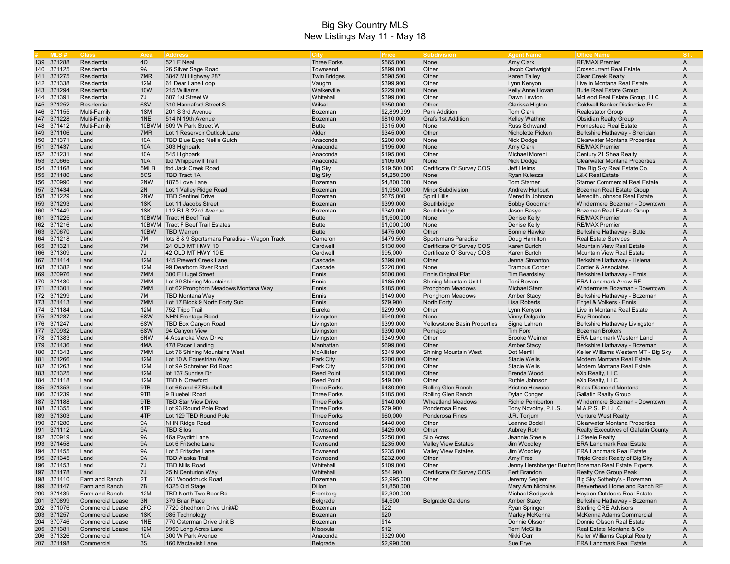| 139 371288<br><b>40</b><br><b>521 E Neal</b><br><b>Three Forks</b><br>\$565,000<br>Amy Clark<br><b>RE/MAX Premier</b><br>$\overline{A}$<br>Residential<br>None<br>140 371125<br><b>9A</b><br>26 Silver Sage Road<br>Townsend<br>\$899,000<br>Residential<br>Other<br>Jacob Cartwright<br><b>Crosscurrent Real Estate</b><br>$\overline{A}$<br>141 371275<br>7MR<br>Residential<br>3847 Mt Highway 287<br><b>Twin Bridges</b><br>\$598,500<br>Other<br><b>Karen Talley</b><br><b>Clear Creek Realty</b><br>$\mathsf{A}$<br>142 371338<br>12M<br>\$399,900<br>Residential<br>61 Dear Lane Loop<br>Vaughn<br>Other<br>Lynn Kenyon<br>Live in Montana Real Estate<br>$\overline{A}$<br>143 371294<br><b>10W</b><br>215 Williams<br>Walkerville<br>\$229,000<br>Residential<br>None<br>Kelly Anne Hovan<br><b>Butte Real Estate Group</b><br>$\mathsf{A}$<br>144 371391<br>7J<br>607 1st Street W<br>\$399,000<br>Other<br>Residential<br>Whitehall<br>Dawn Lewton<br>McLeod Real Estate Group, LLC<br>A<br>145 371252<br>6SV<br>310 Hannaford Street S<br>\$350,000<br>Residential<br>Wilsall<br>Other<br>Clarissa Higton<br>Coldwell Banker Distinctive Pr<br>$\mathsf{A}$<br>146 371155<br>1SM<br>\$2,899,999<br><b>Park Addition</b><br>Multi-Family<br>201 S 3rd Avenue<br>Bozeman<br><b>Tom Clark</b><br><b>Realestator Group</b><br>A<br>147 371228<br>1NE<br>\$810,000<br>Multi-Family<br>514 N 19th Avenue<br>Bozeman<br><b>Grafs 1st Addition</b><br><b>Kelley Wathne</b><br><b>Obsidian Realty Group</b><br>$\overline{A}$<br><b>Butte</b><br>148 371412<br>Multi-Family<br>10BWM<br>609 W Park Street W<br>\$315,000<br>None<br><b>Russ Schwandt</b><br><b>Homestead Real Estate</b><br>A<br>149 371106<br>\$345,000<br>Land<br>7MR<br>Lot 1 Reservoir Outlook Lane<br>Alder<br>Other<br><b>Nicholette Picken</b><br>Berkshire Hathaway - Sheridan<br>A<br>10A<br>\$200,000<br>150 371371<br>Land<br>TBD Blue Eyed Nellie Gulch<br>Anaconda<br>None<br>Nick Dodge<br><b>Clearwater Montana Properties</b><br>A<br>151 371437<br>10A<br>\$195,000<br>Amy Clark<br>Land<br>303 Highpark<br>Anaconda<br>None<br><b>RE/MAX Premier</b><br>$\overline{A}$<br>152 371231<br>10A<br>\$195,000<br>Land<br>545 Highpark<br>Anaconda<br>Other<br>Michael Moreni<br>Century 21 Shea Realty<br>$\overline{A}$<br>153 370665<br>10A<br>tbd Whipperwill Trail<br>\$105,000<br><b>Clearwater Montana Properties</b><br>Land<br>Anaconda<br>Nick Dodge<br>$\overline{A}$<br>None<br>154 371168<br>5MLB<br>Certificate Of Survey COS<br>$\overline{A}$<br>Land<br>tbd Jack Creek Road<br>Big Sky<br>\$19,500,000<br>Jeff Helms<br>The Big Sky Real Estate Co.<br>5CS<br>155 371180<br><b>TBD Tract 1A</b><br>\$4,250,000<br>Land<br><b>Big Sky</b><br>None<br>Ryan Kulesza<br><b>L&amp;K Real Estate</b><br>$\overline{A}$<br>2NW<br>156<br>370990<br>1875 Love Lane<br>Land<br>\$4,800,000<br>None<br><b>Tom Starner</b><br><b>Starner Commercial Real Estate</b><br>A<br>Bozeman<br>157 371434<br>Land<br>2N<br><b>Minor Subdivision</b><br>$\overline{A}$<br>Lot 1 Valley Ridge Road<br>Bozeman<br>\$1,950,000<br><b>Andrew Hurlburt</b><br>Bozeman Real Estate Group<br>158 371229<br>2NW<br>\$675,000<br>Land<br><b>TBD Sentinel Drive</b><br>Bozeman<br><b>Spirit Hills</b><br>Meredith Johnson<br>Meredith Johnson Real Estate<br>A<br>159 371293<br>Land<br>1SK<br>\$399,000<br><b>Bobby Goodman</b><br>Lot 11 Jacobs Street<br>Bozeman<br>Southbridge<br>Windermere Bozeman - Downtown<br>$\mathsf{A}$<br>160 371449<br>1SK<br>\$349,000<br>Land<br>L12 B1 S 22nd Avenue<br>Bozeman<br>Southbridge<br>Jason Basye<br>Bozeman Real Estate Group<br>$\overline{A}$<br>161 371225<br>10BWM Tract H Beef Trail<br><b>Butte</b><br>\$1,500,000<br>Denise Kelly<br><b>RE/MAX Premier</b><br>$\overline{A}$<br>Land<br>None<br>162 371216<br><b>Butte</b><br>\$1,000,000<br>Land<br>10BWM<br>Tract F Beef Trail Estates<br>None<br>Denise Kelly<br><b>RE/MAX Premier</b><br>A<br>163 370670<br>10BW<br><b>TBD Warren</b><br><b>Butte</b><br>\$475,000<br>Land<br>Other<br><b>Bonnie Hawke</b><br>Berkshire Hathaway - Butte<br>$\mathsf{A}$<br>164 371218<br>7M<br>lots 8 & 9 Sportsmans Paradise - Wagon Track<br>\$479,500<br>Land<br>Cameron<br><b>Sportsmans Paradise</b><br>Doug Hamilton<br><b>Real Estate Services</b><br>A<br>165 371321<br>7M<br>\$130,000<br>Certificate Of Survey COS<br>Land<br>24 OLD MT HWY 10<br>Cardwell<br>Karen Burtch<br><b>Mountain View Real Estate</b><br>$\overline{A}$<br>166 371309<br>7J<br>Land<br>42 OLD MT HWY 10 E<br>Cardwell<br>\$95,000<br>Certificate Of Survey COS<br>Karen Burtch<br><b>Mountain View Real Estate</b><br>A<br>167 371414<br>12M<br>\$399,000<br>Land<br>145 Prewett Creek Lane<br>Cascade<br>Other<br>Jenna Simanton<br>Berkshire Hathaway - Helena<br>$\overline{A}$<br>168 371382<br>12M<br>\$220,000<br>Land<br>99 Dearborn River Road<br>Cascade<br>None<br><b>Trampus Corder</b><br>Corder & Associates<br>$\overline{A}$<br>169 370976<br>7MM<br>300 E Hugel Street<br>Ennis<br>\$600,000<br>Ennis Original Plat<br>Berkshire Hathaway - Ennis<br>Land<br><b>Tim Beardsley</b><br>$\overline{A}$<br>170 371430<br>7MM<br>\$185,000<br>Shining Mountain Unit I<br>Land<br>Lot 39 Shining Mountains I<br>Ennis<br>Toni Bowen<br><b>ERA Landmark Arrow RE</b><br>A<br>7MM<br>171 371301<br>Land<br>Lot 62 Pronghorn Meadows Montana Way<br>Ennis<br>\$185,000<br><b>Michael Stem</b><br><b>Pronghorn Meadows</b><br>Windermere Bozeman - Downtown<br>A<br>172 371299<br>7M<br>\$149,000<br>$\overline{A}$<br>Land<br><b>TBD Montana Way</b><br>Ennis<br><b>Pronghorn Meadows</b><br><b>Amber Stacy</b><br>Berkshire Hathaway - Bozeman<br>173 371413<br>Land<br>7MM<br>Lot 17 Block 9 North Forty Sub<br>Ennis<br>\$79,900<br>North Forty<br>Lisa Roberts<br>Engel & Volkers - Ennis<br>$\mathsf{A}$<br>174 371184<br>12M<br>\$299,900<br>Land<br>752 Tripp Trail<br>Eureka<br>Other<br>Lynn Kenyon<br>Live in Montana Real Estate<br>A<br>6SW<br>175 371287<br>Land<br><b>NHN Frontage Road</b><br>Livingston<br>\$949,000<br>None<br>Vinny Delgado<br><b>Fay Ranches</b><br>$\mathsf{A}$<br>176 371247<br>Land<br>6SW<br>TBD Box Canyon Road<br>\$399,000<br>Livingston<br>Yellowstone Basin Properties<br>Signe Lahren<br>Berkshire Hathaway Livingston<br>A<br>177 370932<br>6SW<br>\$390,000<br>Land<br>94 Canyon View<br>Livingston<br>Pomajbo<br>Tim Ford<br><b>Bozeman Brokers</b><br>$\mathsf{A}$<br>178 371383<br>6NW<br>4 Absaroka View Drive<br>Livingston<br>\$349,900<br>Other<br>Land<br><b>Brooke Weimer</b><br><b>ERA Landmark Western Land</b><br>A<br>179 371436<br>4MA<br>\$699,000<br>$\overline{A}$<br>Land<br>478 Pacer Landing<br>Manhattan<br>Other<br><b>Amber Stacy</b><br>Berkshire Hathaway - Bozeman<br>180 371343<br>7MM<br>Lot 76 Shining Mountains West<br>\$349,900<br>Land<br><b>McAllister</b><br>Shining Mountain West<br>Dot Merrill<br>Keller Williams Western MT - Big Sky<br>A<br>181 371266<br>12M<br>\$200,000<br>Land<br>Lot 10 A Equestrian Way<br>Park City<br>Other<br><b>Stacie Wells</b><br>Modern Montana Real Estate<br>A<br><b>12M</b><br>182 371263<br>Land<br>Lot 9A Schreiner Rd Road<br>Park City<br>\$200,000<br>Other<br><b>Stacie Wells</b><br>Modern Montana Real Estate<br>$\overline{A}$<br>183 371325<br>12M<br>Land<br>lot 137 Sunrise Dr<br><b>Reed Point</b><br>\$130,000<br>Other<br><b>Brenda Wood</b><br>eXp Realty, LLC<br>$\overline{A}$<br>184 371118<br>12M<br>\$49,000<br>Land<br><b>TBD N Crawford</b><br><b>Reed Point</b><br>Other<br>Ruthie Johnson<br>eXp Realty, LLC<br>$\overline{A}$<br>185 371353<br>9TB<br>\$430,000<br><b>Rolling Glen Ranch</b><br>Land<br>Lot 66 and 67 Bluebell<br><b>Three Forks</b><br>Kristine Hewuse<br><b>Black Diamond Montana</b><br>$\overline{A}$<br>186 371239<br>9TB<br>9 Bluebell Road<br>\$185,000<br>Rolling Glen Ranch<br>$\overline{A}$<br>Land<br><b>Three Forks</b><br>Dylan Conger<br><b>Gallatin Realty Group</b><br>9TB<br>187 371188<br>\$140,000<br><b>Wheatland Meadows</b><br>Windermere Bozeman - Downtown<br>Land<br><b>TBD Star View Drive</b><br><b>Three Forks</b><br><b>Richie Pemberton</b><br>$\mathsf{A}$<br>4TP<br>188<br>371355<br>\$79,900<br>M.A.P.S., P.L.L.C.<br>$\overline{A}$<br>Land<br>Lot 93 Round Pole Road<br><b>Three Forks</b><br><b>Ponderosa Pines</b><br>Tony Novotny, P.L.S.<br>4TP<br>189 371303<br>Land<br>\$60,000<br>Lot 129 TBD Round Pole<br><b>Three Forks</b><br><b>Ponderosa Pines</b><br>J.R. Tonjum<br><b>Venture West Realty</b><br>$\mathsf{A}$<br><b>9A</b><br>190 371280<br>\$440,000<br><b>Clearwater Montana Properties</b><br>Land<br><b>NHN Ridge Road</b><br>Townsend<br>Other<br>Leanne Bodell<br>A<br><b>9A</b><br>191 371112<br>Land<br><b>TBD Silos</b><br>Townsend<br>\$425,000<br>Other<br>Aubrey Roth<br><b>Realty Executives of Gallatin County</b><br>$\mathsf{A}$<br>192 370919<br><b>9A</b><br>Townsend<br>\$250,000<br>Land<br>46a Paydirt Lane<br>Silo Acres<br>Jeannie Steele<br>J Steele Realty<br>A<br><b>9A</b><br>193 371458<br>\$235,000<br>Land<br>Lot 6 Fritsche Lane<br>Townsend<br><b>Valley View Estates</b><br>Jim Woodley<br><b>ERA Landmark Real Estate</b><br>$\mathsf{A}$<br><b>9A</b><br>194 371455<br>Land<br>Townsend<br>\$235,000<br>Lot 5 Fritsche Lane<br><b>Valley View Estates</b><br>Jim Woodley<br><b>ERA Landmark Real Estate</b><br>A<br>195 371345<br><b>9A</b><br>\$232,000<br>Land<br>TBD Alaska Trail<br>Townsend<br>Other<br>Amy Free<br>Triple Creek Realty of Big Sky<br>A<br>196 371453<br>Land<br>7J<br>TBD Mills Road<br>Whitehall<br>\$109,000<br>Other<br>Jenny Hershberger Bushm Bozeman Real Estate Experts<br>A<br>197 371178<br>Certificate Of Survey COS<br>7J<br>\$54,900<br>25 N Centurion Way<br>Whitehall<br><b>Bert Brandon</b><br><b>Realty One Group Peak</b><br>$\mathsf{A}$<br>Land<br>198 371410<br>2T<br>661 Woodchuck Road<br>\$2,995,000<br>Jeremy Seglem<br>Big Sky Sotheby's - Bozeman<br>Farm and Ranch<br>Bozeman<br>Other<br>A<br>\$1,850,000<br>Mary Ann Nicholas<br>199 371147<br>7B<br>4325 Old Stage<br>Dillon<br>Beaverhead Home and Ranch RE<br>Farm and Ranch<br>A<br>200 371439<br>12M<br>TBD North Two Bear Rd<br>Michael Sedgwick<br>Hayden Outdoors Real Estate<br>Farm and Ranch<br>Fromberg<br>\$2,300,000<br>$\overline{A}$<br>201 370899<br><b>Commercial Lease</b><br>3N<br>379 Briar Place<br>\$4,500<br><b>Belgrade Gardens</b><br><b>Amber Stacy</b><br>Berkshire Hathaway - Bozeman<br>Belgrade<br>$\mathsf{A}$<br>202 371076<br>2FC<br>7720 Shedhorn Drive Unit#D<br>\$22<br><b>Sterling CRE Advisors</b><br><b>Commercial Lease</b><br>Bozeman<br><b>Ryan Springer</b><br>$\overline{A}$<br>203 371257<br>\$20<br><b>Commercial Lease</b><br>1SK<br>Bozeman<br>Marley McKenna<br>McKenna Adams Commercial<br>985 Technology<br>$\mathsf{A}$<br>204 370746<br>1NE<br>770 Osterman Drive Unit B<br>\$14<br>Donnie Olsson<br>Donnie Olsson Real Estate<br>$\overline{A}$<br><b>Commercial Lease</b><br>Bozeman<br>\$12<br>205 371381<br><b>Commercial Lease</b><br><b>12M</b><br>9950 Long Acres Lane<br>Missoula<br><b>Terri McGillis</b><br>Real Estate Montana & Co<br>$\mathsf{A}$<br>206 371326<br>10A<br>300 W Park Avenue<br>\$329,000<br>Nikki Corr<br>Keller Williams Capital Realty<br>Commercial<br>Anaconda<br>A<br>3S<br>207 371198<br>Commercial<br>160 Mactavish Lane<br>Belgrade<br>\$2,990,000<br>Sue Frye<br><b>ERA Landmark Real Estate</b><br>$\mathsf{A}$ | MIS# | <b>Class</b> | Area | <b>Address</b> | <b>City</b> | Price | <b>Subdivision</b> | <b>Agent Name</b> | <b>Office Name</b> | <b>IST</b> |
|-------------------------------------------------------------------------------------------------------------------------------------------------------------------------------------------------------------------------------------------------------------------------------------------------------------------------------------------------------------------------------------------------------------------------------------------------------------------------------------------------------------------------------------------------------------------------------------------------------------------------------------------------------------------------------------------------------------------------------------------------------------------------------------------------------------------------------------------------------------------------------------------------------------------------------------------------------------------------------------------------------------------------------------------------------------------------------------------------------------------------------------------------------------------------------------------------------------------------------------------------------------------------------------------------------------------------------------------------------------------------------------------------------------------------------------------------------------------------------------------------------------------------------------------------------------------------------------------------------------------------------------------------------------------------------------------------------------------------------------------------------------------------------------------------------------------------------------------------------------------------------------------------------------------------------------------------------------------------------------------------------------------------------------------------------------------------------------------------------------------------------------------------------------------------------------------------------------------------------------------------------------------------------------------------------------------------------------------------------------------------------------------------------------------------------------------------------------------------------------------------------------------------------------------------------------------------------------------------------------------------------------------------------------------------------------------------------------------------------------------------------------------------------------------------------------------------------------------------------------------------------------------------------------------------------------------------------------------------------------------------------------------------------------------------------------------------------------------------------------------------------------------------------------------------------------------------------------------------------------------------------------------------------------------------------------------------------------------------------------------------------------------------------------------------------------------------------------------------------------------------------------------------------------------------------------------------------------------------------------------------------------------------------------------------------------------------------------------------------------------------------------------------------------------------------------------------------------------------------------------------------------------------------------------------------------------------------------------------------------------------------------------------------------------------------------------------------------------------------------------------------------------------------------------------------------------------------------------------------------------------------------------------------------------------------------------------------------------------------------------------------------------------------------------------------------------------------------------------------------------------------------------------------------------------------------------------------------------------------------------------------------------------------------------------------------------------------------------------------------------------------------------------------------------------------------------------------------------------------------------------------------------------------------------------------------------------------------------------------------------------------------------------------------------------------------------------------------------------------------------------------------------------------------------------------------------------------------------------------------------------------------------------------------------------------------------------------------------------------------------------------------------------------------------------------------------------------------------------------------------------------------------------------------------------------------------------------------------------------------------------------------------------------------------------------------------------------------------------------------------------------------------------------------------------------------------------------------------------------------------------------------------------------------------------------------------------------------------------------------------------------------------------------------------------------------------------------------------------------------------------------------------------------------------------------------------------------------------------------------------------------------------------------------------------------------------------------------------------------------------------------------------------------------------------------------------------------------------------------------------------------------------------------------------------------------------------------------------------------------------------------------------------------------------------------------------------------------------------------------------------------------------------------------------------------------------------------------------------------------------------------------------------------------------------------------------------------------------------------------------------------------------------------------------------------------------------------------------------------------------------------------------------------------------------------------------------------------------------------------------------------------------------------------------------------------------------------------------------------------------------------------------------------------------------------------------------------------------------------------------------------------------------------------------------------------------------------------------------------------------------------------------------------------------------------------------------------------------------------------------------------------------------------------------------------------------------------------------------------------------------------------------------------------------------------------------------------------------------------------------------------------------------------------------------------------------------------------------------------------------------------------------------------------------------------------------------------------------------------------------------------------------------------------------------------------------------------------------------------------------------------------------------------------------------------------------------------------------------------------------------------------------------------------------------------------------------------------------------------------------------------------------------------------------------------------------------------------------------------------------------------------------------------------------------------------------------------------------------------------------------------------------------------------------------------------------------------------------------------------------------------------------------------------------------------------------------------------------------------------------------------------------------------------------------------------------------------------------------------------------------------------------------------------------------------------------------------------------------------------------------------------------------------------------------------------------------------------------------------------------------------------------------------------------------------------------------------------------------------------------------------------------------------------------------------------------------------------------------------------------------------------------------------------------------------------------------------------------------------------------------------------------------------------------------------------------------------------------------------------------------------------------------------------------------------------------------------------------------------------------------------------------------------------------------------------------------------------------------------------------------------------------------------------------------------------------------------------------------------------------------------------------------------------------------------------------------------------------------------------------------------------------------------------------------------------------------------------------------------------------------------------------------------------------------------------------------------------------------------------------------------------------------------------------------------------------------------------------------------------------------------------------------------------------------------------------------------------------------------------------------------------------------------------------------------------------------------------------------------------------------------------------------------------------------------------------------------------------------------------------------------------------------------------------------------------------------------------------------------------------------------------------------------------------------------------------------------------------------------------------------------------------------------|------|--------------|------|----------------|-------------|-------|--------------------|-------------------|--------------------|------------|
|                                                                                                                                                                                                                                                                                                                                                                                                                                                                                                                                                                                                                                                                                                                                                                                                                                                                                                                                                                                                                                                                                                                                                                                                                                                                                                                                                                                                                                                                                                                                                                                                                                                                                                                                                                                                                                                                                                                                                                                                                                                                                                                                                                                                                                                                                                                                                                                                                                                                                                                                                                                                                                                                                                                                                                                                                                                                                                                                                                                                                                                                                                                                                                                                                                                                                                                                                                                                                                                                                                                                                                                                                                                                                                                                                                                                                                                                                                                                                                                                                                                                                                                                                                                                                                                                                                                                                                                                                                                                                                                                                                                                                                                                                                                                                                                                                                                                                                                                                                                                                                                                                                                                                                                                                                                                                                                                                                                                                                                                                                                                                                                                                                                                                                                                                                                                                                                                                                                                                                                                                                                                                                                                                                                                                                                                                                                                                                                                                                                                                                                                                                                                                                                                                                                                                                                                                                                                                                                                                                                                                                                                                                                                                                                                                                                                                                                                                                                                                                                                                                                                                                                                                                                                                                                                                                                                                                                                                                                                                                                                                                                                                                                                                                                                                                                                                                                                                                                                                                                                                                                                                                                                                                                                                                                                                                                                                                                                                                                                                                                                                                                                                                                                                                                                                                                                                                                                                                                                                                                                                                                                                                                                                                                                                                                                                                                                                                                                                                                                                                                                                                                                                                                                                                                                                                                                                                                                                                                                                                                                                                                                                                                                                                                                                                                                                                                                                                                                                                                                                                                                                                                                                                                                                                                                                                                                                                                                                                                                                                                                                                                               |      |              |      |                |             |       |                    |                   |                    |            |
|                                                                                                                                                                                                                                                                                                                                                                                                                                                                                                                                                                                                                                                                                                                                                                                                                                                                                                                                                                                                                                                                                                                                                                                                                                                                                                                                                                                                                                                                                                                                                                                                                                                                                                                                                                                                                                                                                                                                                                                                                                                                                                                                                                                                                                                                                                                                                                                                                                                                                                                                                                                                                                                                                                                                                                                                                                                                                                                                                                                                                                                                                                                                                                                                                                                                                                                                                                                                                                                                                                                                                                                                                                                                                                                                                                                                                                                                                                                                                                                                                                                                                                                                                                                                                                                                                                                                                                                                                                                                                                                                                                                                                                                                                                                                                                                                                                                                                                                                                                                                                                                                                                                                                                                                                                                                                                                                                                                                                                                                                                                                                                                                                                                                                                                                                                                                                                                                                                                                                                                                                                                                                                                                                                                                                                                                                                                                                                                                                                                                                                                                                                                                                                                                                                                                                                                                                                                                                                                                                                                                                                                                                                                                                                                                                                                                                                                                                                                                                                                                                                                                                                                                                                                                                                                                                                                                                                                                                                                                                                                                                                                                                                                                                                                                                                                                                                                                                                                                                                                                                                                                                                                                                                                                                                                                                                                                                                                                                                                                                                                                                                                                                                                                                                                                                                                                                                                                                                                                                                                                                                                                                                                                                                                                                                                                                                                                                                                                                                                                                                                                                                                                                                                                                                                                                                                                                                                                                                                                                                                                                                                                                                                                                                                                                                                                                                                                                                                                                                                                                                                                                                                                                                                                                                                                                                                                                                                                                                                                                                                                                                                               |      |              |      |                |             |       |                    |                   |                    |            |
|                                                                                                                                                                                                                                                                                                                                                                                                                                                                                                                                                                                                                                                                                                                                                                                                                                                                                                                                                                                                                                                                                                                                                                                                                                                                                                                                                                                                                                                                                                                                                                                                                                                                                                                                                                                                                                                                                                                                                                                                                                                                                                                                                                                                                                                                                                                                                                                                                                                                                                                                                                                                                                                                                                                                                                                                                                                                                                                                                                                                                                                                                                                                                                                                                                                                                                                                                                                                                                                                                                                                                                                                                                                                                                                                                                                                                                                                                                                                                                                                                                                                                                                                                                                                                                                                                                                                                                                                                                                                                                                                                                                                                                                                                                                                                                                                                                                                                                                                                                                                                                                                                                                                                                                                                                                                                                                                                                                                                                                                                                                                                                                                                                                                                                                                                                                                                                                                                                                                                                                                                                                                                                                                                                                                                                                                                                                                                                                                                                                                                                                                                                                                                                                                                                                                                                                                                                                                                                                                                                                                                                                                                                                                                                                                                                                                                                                                                                                                                                                                                                                                                                                                                                                                                                                                                                                                                                                                                                                                                                                                                                                                                                                                                                                                                                                                                                                                                                                                                                                                                                                                                                                                                                                                                                                                                                                                                                                                                                                                                                                                                                                                                                                                                                                                                                                                                                                                                                                                                                                                                                                                                                                                                                                                                                                                                                                                                                                                                                                                                                                                                                                                                                                                                                                                                                                                                                                                                                                                                                                                                                                                                                                                                                                                                                                                                                                                                                                                                                                                                                                                                                                                                                                                                                                                                                                                                                                                                                                                                                                                                                                               |      |              |      |                |             |       |                    |                   |                    |            |
|                                                                                                                                                                                                                                                                                                                                                                                                                                                                                                                                                                                                                                                                                                                                                                                                                                                                                                                                                                                                                                                                                                                                                                                                                                                                                                                                                                                                                                                                                                                                                                                                                                                                                                                                                                                                                                                                                                                                                                                                                                                                                                                                                                                                                                                                                                                                                                                                                                                                                                                                                                                                                                                                                                                                                                                                                                                                                                                                                                                                                                                                                                                                                                                                                                                                                                                                                                                                                                                                                                                                                                                                                                                                                                                                                                                                                                                                                                                                                                                                                                                                                                                                                                                                                                                                                                                                                                                                                                                                                                                                                                                                                                                                                                                                                                                                                                                                                                                                                                                                                                                                                                                                                                                                                                                                                                                                                                                                                                                                                                                                                                                                                                                                                                                                                                                                                                                                                                                                                                                                                                                                                                                                                                                                                                                                                                                                                                                                                                                                                                                                                                                                                                                                                                                                                                                                                                                                                                                                                                                                                                                                                                                                                                                                                                                                                                                                                                                                                                                                                                                                                                                                                                                                                                                                                                                                                                                                                                                                                                                                                                                                                                                                                                                                                                                                                                                                                                                                                                                                                                                                                                                                                                                                                                                                                                                                                                                                                                                                                                                                                                                                                                                                                                                                                                                                                                                                                                                                                                                                                                                                                                                                                                                                                                                                                                                                                                                                                                                                                                                                                                                                                                                                                                                                                                                                                                                                                                                                                                                                                                                                                                                                                                                                                                                                                                                                                                                                                                                                                                                                                                                                                                                                                                                                                                                                                                                                                                                                                                                                                                                               |      |              |      |                |             |       |                    |                   |                    |            |
|                                                                                                                                                                                                                                                                                                                                                                                                                                                                                                                                                                                                                                                                                                                                                                                                                                                                                                                                                                                                                                                                                                                                                                                                                                                                                                                                                                                                                                                                                                                                                                                                                                                                                                                                                                                                                                                                                                                                                                                                                                                                                                                                                                                                                                                                                                                                                                                                                                                                                                                                                                                                                                                                                                                                                                                                                                                                                                                                                                                                                                                                                                                                                                                                                                                                                                                                                                                                                                                                                                                                                                                                                                                                                                                                                                                                                                                                                                                                                                                                                                                                                                                                                                                                                                                                                                                                                                                                                                                                                                                                                                                                                                                                                                                                                                                                                                                                                                                                                                                                                                                                                                                                                                                                                                                                                                                                                                                                                                                                                                                                                                                                                                                                                                                                                                                                                                                                                                                                                                                                                                                                                                                                                                                                                                                                                                                                                                                                                                                                                                                                                                                                                                                                                                                                                                                                                                                                                                                                                                                                                                                                                                                                                                                                                                                                                                                                                                                                                                                                                                                                                                                                                                                                                                                                                                                                                                                                                                                                                                                                                                                                                                                                                                                                                                                                                                                                                                                                                                                                                                                                                                                                                                                                                                                                                                                                                                                                                                                                                                                                                                                                                                                                                                                                                                                                                                                                                                                                                                                                                                                                                                                                                                                                                                                                                                                                                                                                                                                                                                                                                                                                                                                                                                                                                                                                                                                                                                                                                                                                                                                                                                                                                                                                                                                                                                                                                                                                                                                                                                                                                                                                                                                                                                                                                                                                                                                                                                                                                                                                                                                               |      |              |      |                |             |       |                    |                   |                    |            |
|                                                                                                                                                                                                                                                                                                                                                                                                                                                                                                                                                                                                                                                                                                                                                                                                                                                                                                                                                                                                                                                                                                                                                                                                                                                                                                                                                                                                                                                                                                                                                                                                                                                                                                                                                                                                                                                                                                                                                                                                                                                                                                                                                                                                                                                                                                                                                                                                                                                                                                                                                                                                                                                                                                                                                                                                                                                                                                                                                                                                                                                                                                                                                                                                                                                                                                                                                                                                                                                                                                                                                                                                                                                                                                                                                                                                                                                                                                                                                                                                                                                                                                                                                                                                                                                                                                                                                                                                                                                                                                                                                                                                                                                                                                                                                                                                                                                                                                                                                                                                                                                                                                                                                                                                                                                                                                                                                                                                                                                                                                                                                                                                                                                                                                                                                                                                                                                                                                                                                                                                                                                                                                                                                                                                                                                                                                                                                                                                                                                                                                                                                                                                                                                                                                                                                                                                                                                                                                                                                                                                                                                                                                                                                                                                                                                                                                                                                                                                                                                                                                                                                                                                                                                                                                                                                                                                                                                                                                                                                                                                                                                                                                                                                                                                                                                                                                                                                                                                                                                                                                                                                                                                                                                                                                                                                                                                                                                                                                                                                                                                                                                                                                                                                                                                                                                                                                                                                                                                                                                                                                                                                                                                                                                                                                                                                                                                                                                                                                                                                                                                                                                                                                                                                                                                                                                                                                                                                                                                                                                                                                                                                                                                                                                                                                                                                                                                                                                                                                                                                                                                                                                                                                                                                                                                                                                                                                                                                                                                                                                                                                                               |      |              |      |                |             |       |                    |                   |                    |            |
|                                                                                                                                                                                                                                                                                                                                                                                                                                                                                                                                                                                                                                                                                                                                                                                                                                                                                                                                                                                                                                                                                                                                                                                                                                                                                                                                                                                                                                                                                                                                                                                                                                                                                                                                                                                                                                                                                                                                                                                                                                                                                                                                                                                                                                                                                                                                                                                                                                                                                                                                                                                                                                                                                                                                                                                                                                                                                                                                                                                                                                                                                                                                                                                                                                                                                                                                                                                                                                                                                                                                                                                                                                                                                                                                                                                                                                                                                                                                                                                                                                                                                                                                                                                                                                                                                                                                                                                                                                                                                                                                                                                                                                                                                                                                                                                                                                                                                                                                                                                                                                                                                                                                                                                                                                                                                                                                                                                                                                                                                                                                                                                                                                                                                                                                                                                                                                                                                                                                                                                                                                                                                                                                                                                                                                                                                                                                                                                                                                                                                                                                                                                                                                                                                                                                                                                                                                                                                                                                                                                                                                                                                                                                                                                                                                                                                                                                                                                                                                                                                                                                                                                                                                                                                                                                                                                                                                                                                                                                                                                                                                                                                                                                                                                                                                                                                                                                                                                                                                                                                                                                                                                                                                                                                                                                                                                                                                                                                                                                                                                                                                                                                                                                                                                                                                                                                                                                                                                                                                                                                                                                                                                                                                                                                                                                                                                                                                                                                                                                                                                                                                                                                                                                                                                                                                                                                                                                                                                                                                                                                                                                                                                                                                                                                                                                                                                                                                                                                                                                                                                                                                                                                                                                                                                                                                                                                                                                                                                                                                                                                                                               |      |              |      |                |             |       |                    |                   |                    |            |
|                                                                                                                                                                                                                                                                                                                                                                                                                                                                                                                                                                                                                                                                                                                                                                                                                                                                                                                                                                                                                                                                                                                                                                                                                                                                                                                                                                                                                                                                                                                                                                                                                                                                                                                                                                                                                                                                                                                                                                                                                                                                                                                                                                                                                                                                                                                                                                                                                                                                                                                                                                                                                                                                                                                                                                                                                                                                                                                                                                                                                                                                                                                                                                                                                                                                                                                                                                                                                                                                                                                                                                                                                                                                                                                                                                                                                                                                                                                                                                                                                                                                                                                                                                                                                                                                                                                                                                                                                                                                                                                                                                                                                                                                                                                                                                                                                                                                                                                                                                                                                                                                                                                                                                                                                                                                                                                                                                                                                                                                                                                                                                                                                                                                                                                                                                                                                                                                                                                                                                                                                                                                                                                                                                                                                                                                                                                                                                                                                                                                                                                                                                                                                                                                                                                                                                                                                                                                                                                                                                                                                                                                                                                                                                                                                                                                                                                                                                                                                                                                                                                                                                                                                                                                                                                                                                                                                                                                                                                                                                                                                                                                                                                                                                                                                                                                                                                                                                                                                                                                                                                                                                                                                                                                                                                                                                                                                                                                                                                                                                                                                                                                                                                                                                                                                                                                                                                                                                                                                                                                                                                                                                                                                                                                                                                                                                                                                                                                                                                                                                                                                                                                                                                                                                                                                                                                                                                                                                                                                                                                                                                                                                                                                                                                                                                                                                                                                                                                                                                                                                                                                                                                                                                                                                                                                                                                                                                                                                                                                                                                                                                               |      |              |      |                |             |       |                    |                   |                    |            |
|                                                                                                                                                                                                                                                                                                                                                                                                                                                                                                                                                                                                                                                                                                                                                                                                                                                                                                                                                                                                                                                                                                                                                                                                                                                                                                                                                                                                                                                                                                                                                                                                                                                                                                                                                                                                                                                                                                                                                                                                                                                                                                                                                                                                                                                                                                                                                                                                                                                                                                                                                                                                                                                                                                                                                                                                                                                                                                                                                                                                                                                                                                                                                                                                                                                                                                                                                                                                                                                                                                                                                                                                                                                                                                                                                                                                                                                                                                                                                                                                                                                                                                                                                                                                                                                                                                                                                                                                                                                                                                                                                                                                                                                                                                                                                                                                                                                                                                                                                                                                                                                                                                                                                                                                                                                                                                                                                                                                                                                                                                                                                                                                                                                                                                                                                                                                                                                                                                                                                                                                                                                                                                                                                                                                                                                                                                                                                                                                                                                                                                                                                                                                                                                                                                                                                                                                                                                                                                                                                                                                                                                                                                                                                                                                                                                                                                                                                                                                                                                                                                                                                                                                                                                                                                                                                                                                                                                                                                                                                                                                                                                                                                                                                                                                                                                                                                                                                                                                                                                                                                                                                                                                                                                                                                                                                                                                                                                                                                                                                                                                                                                                                                                                                                                                                                                                                                                                                                                                                                                                                                                                                                                                                                                                                                                                                                                                                                                                                                                                                                                                                                                                                                                                                                                                                                                                                                                                                                                                                                                                                                                                                                                                                                                                                                                                                                                                                                                                                                                                                                                                                                                                                                                                                                                                                                                                                                                                                                                                                                                                                                                               |      |              |      |                |             |       |                    |                   |                    |            |
|                                                                                                                                                                                                                                                                                                                                                                                                                                                                                                                                                                                                                                                                                                                                                                                                                                                                                                                                                                                                                                                                                                                                                                                                                                                                                                                                                                                                                                                                                                                                                                                                                                                                                                                                                                                                                                                                                                                                                                                                                                                                                                                                                                                                                                                                                                                                                                                                                                                                                                                                                                                                                                                                                                                                                                                                                                                                                                                                                                                                                                                                                                                                                                                                                                                                                                                                                                                                                                                                                                                                                                                                                                                                                                                                                                                                                                                                                                                                                                                                                                                                                                                                                                                                                                                                                                                                                                                                                                                                                                                                                                                                                                                                                                                                                                                                                                                                                                                                                                                                                                                                                                                                                                                                                                                                                                                                                                                                                                                                                                                                                                                                                                                                                                                                                                                                                                                                                                                                                                                                                                                                                                                                                                                                                                                                                                                                                                                                                                                                                                                                                                                                                                                                                                                                                                                                                                                                                                                                                                                                                                                                                                                                                                                                                                                                                                                                                                                                                                                                                                                                                                                                                                                                                                                                                                                                                                                                                                                                                                                                                                                                                                                                                                                                                                                                                                                                                                                                                                                                                                                                                                                                                                                                                                                                                                                                                                                                                                                                                                                                                                                                                                                                                                                                                                                                                                                                                                                                                                                                                                                                                                                                                                                                                                                                                                                                                                                                                                                                                                                                                                                                                                                                                                                                                                                                                                                                                                                                                                                                                                                                                                                                                                                                                                                                                                                                                                                                                                                                                                                                                                                                                                                                                                                                                                                                                                                                                                                                                                                                                                                               |      |              |      |                |             |       |                    |                   |                    |            |
|                                                                                                                                                                                                                                                                                                                                                                                                                                                                                                                                                                                                                                                                                                                                                                                                                                                                                                                                                                                                                                                                                                                                                                                                                                                                                                                                                                                                                                                                                                                                                                                                                                                                                                                                                                                                                                                                                                                                                                                                                                                                                                                                                                                                                                                                                                                                                                                                                                                                                                                                                                                                                                                                                                                                                                                                                                                                                                                                                                                                                                                                                                                                                                                                                                                                                                                                                                                                                                                                                                                                                                                                                                                                                                                                                                                                                                                                                                                                                                                                                                                                                                                                                                                                                                                                                                                                                                                                                                                                                                                                                                                                                                                                                                                                                                                                                                                                                                                                                                                                                                                                                                                                                                                                                                                                                                                                                                                                                                                                                                                                                                                                                                                                                                                                                                                                                                                                                                                                                                                                                                                                                                                                                                                                                                                                                                                                                                                                                                                                                                                                                                                                                                                                                                                                                                                                                                                                                                                                                                                                                                                                                                                                                                                                                                                                                                                                                                                                                                                                                                                                                                                                                                                                                                                                                                                                                                                                                                                                                                                                                                                                                                                                                                                                                                                                                                                                                                                                                                                                                                                                                                                                                                                                                                                                                                                                                                                                                                                                                                                                                                                                                                                                                                                                                                                                                                                                                                                                                                                                                                                                                                                                                                                                                                                                                                                                                                                                                                                                                                                                                                                                                                                                                                                                                                                                                                                                                                                                                                                                                                                                                                                                                                                                                                                                                                                                                                                                                                                                                                                                                                                                                                                                                                                                                                                                                                                                                                                                                                                                                                                               |      |              |      |                |             |       |                    |                   |                    |            |
|                                                                                                                                                                                                                                                                                                                                                                                                                                                                                                                                                                                                                                                                                                                                                                                                                                                                                                                                                                                                                                                                                                                                                                                                                                                                                                                                                                                                                                                                                                                                                                                                                                                                                                                                                                                                                                                                                                                                                                                                                                                                                                                                                                                                                                                                                                                                                                                                                                                                                                                                                                                                                                                                                                                                                                                                                                                                                                                                                                                                                                                                                                                                                                                                                                                                                                                                                                                                                                                                                                                                                                                                                                                                                                                                                                                                                                                                                                                                                                                                                                                                                                                                                                                                                                                                                                                                                                                                                                                                                                                                                                                                                                                                                                                                                                                                                                                                                                                                                                                                                                                                                                                                                                                                                                                                                                                                                                                                                                                                                                                                                                                                                                                                                                                                                                                                                                                                                                                                                                                                                                                                                                                                                                                                                                                                                                                                                                                                                                                                                                                                                                                                                                                                                                                                                                                                                                                                                                                                                                                                                                                                                                                                                                                                                                                                                                                                                                                                                                                                                                                                                                                                                                                                                                                                                                                                                                                                                                                                                                                                                                                                                                                                                                                                                                                                                                                                                                                                                                                                                                                                                                                                                                                                                                                                                                                                                                                                                                                                                                                                                                                                                                                                                                                                                                                                                                                                                                                                                                                                                                                                                                                                                                                                                                                                                                                                                                                                                                                                                                                                                                                                                                                                                                                                                                                                                                                                                                                                                                                                                                                                                                                                                                                                                                                                                                                                                                                                                                                                                                                                                                                                                                                                                                                                                                                                                                                                                                                                                                                                                                                               |      |              |      |                |             |       |                    |                   |                    |            |
|                                                                                                                                                                                                                                                                                                                                                                                                                                                                                                                                                                                                                                                                                                                                                                                                                                                                                                                                                                                                                                                                                                                                                                                                                                                                                                                                                                                                                                                                                                                                                                                                                                                                                                                                                                                                                                                                                                                                                                                                                                                                                                                                                                                                                                                                                                                                                                                                                                                                                                                                                                                                                                                                                                                                                                                                                                                                                                                                                                                                                                                                                                                                                                                                                                                                                                                                                                                                                                                                                                                                                                                                                                                                                                                                                                                                                                                                                                                                                                                                                                                                                                                                                                                                                                                                                                                                                                                                                                                                                                                                                                                                                                                                                                                                                                                                                                                                                                                                                                                                                                                                                                                                                                                                                                                                                                                                                                                                                                                                                                                                                                                                                                                                                                                                                                                                                                                                                                                                                                                                                                                                                                                                                                                                                                                                                                                                                                                                                                                                                                                                                                                                                                                                                                                                                                                                                                                                                                                                                                                                                                                                                                                                                                                                                                                                                                                                                                                                                                                                                                                                                                                                                                                                                                                                                                                                                                                                                                                                                                                                                                                                                                                                                                                                                                                                                                                                                                                                                                                                                                                                                                                                                                                                                                                                                                                                                                                                                                                                                                                                                                                                                                                                                                                                                                                                                                                                                                                                                                                                                                                                                                                                                                                                                                                                                                                                                                                                                                                                                                                                                                                                                                                                                                                                                                                                                                                                                                                                                                                                                                                                                                                                                                                                                                                                                                                                                                                                                                                                                                                                                                                                                                                                                                                                                                                                                                                                                                                                                                                                                                                               |      |              |      |                |             |       |                    |                   |                    |            |
|                                                                                                                                                                                                                                                                                                                                                                                                                                                                                                                                                                                                                                                                                                                                                                                                                                                                                                                                                                                                                                                                                                                                                                                                                                                                                                                                                                                                                                                                                                                                                                                                                                                                                                                                                                                                                                                                                                                                                                                                                                                                                                                                                                                                                                                                                                                                                                                                                                                                                                                                                                                                                                                                                                                                                                                                                                                                                                                                                                                                                                                                                                                                                                                                                                                                                                                                                                                                                                                                                                                                                                                                                                                                                                                                                                                                                                                                                                                                                                                                                                                                                                                                                                                                                                                                                                                                                                                                                                                                                                                                                                                                                                                                                                                                                                                                                                                                                                                                                                                                                                                                                                                                                                                                                                                                                                                                                                                                                                                                                                                                                                                                                                                                                                                                                                                                                                                                                                                                                                                                                                                                                                                                                                                                                                                                                                                                                                                                                                                                                                                                                                                                                                                                                                                                                                                                                                                                                                                                                                                                                                                                                                                                                                                                                                                                                                                                                                                                                                                                                                                                                                                                                                                                                                                                                                                                                                                                                                                                                                                                                                                                                                                                                                                                                                                                                                                                                                                                                                                                                                                                                                                                                                                                                                                                                                                                                                                                                                                                                                                                                                                                                                                                                                                                                                                                                                                                                                                                                                                                                                                                                                                                                                                                                                                                                                                                                                                                                                                                                                                                                                                                                                                                                                                                                                                                                                                                                                                                                                                                                                                                                                                                                                                                                                                                                                                                                                                                                                                                                                                                                                                                                                                                                                                                                                                                                                                                                                                                                                                                                                                               |      |              |      |                |             |       |                    |                   |                    |            |
|                                                                                                                                                                                                                                                                                                                                                                                                                                                                                                                                                                                                                                                                                                                                                                                                                                                                                                                                                                                                                                                                                                                                                                                                                                                                                                                                                                                                                                                                                                                                                                                                                                                                                                                                                                                                                                                                                                                                                                                                                                                                                                                                                                                                                                                                                                                                                                                                                                                                                                                                                                                                                                                                                                                                                                                                                                                                                                                                                                                                                                                                                                                                                                                                                                                                                                                                                                                                                                                                                                                                                                                                                                                                                                                                                                                                                                                                                                                                                                                                                                                                                                                                                                                                                                                                                                                                                                                                                                                                                                                                                                                                                                                                                                                                                                                                                                                                                                                                                                                                                                                                                                                                                                                                                                                                                                                                                                                                                                                                                                                                                                                                                                                                                                                                                                                                                                                                                                                                                                                                                                                                                                                                                                                                                                                                                                                                                                                                                                                                                                                                                                                                                                                                                                                                                                                                                                                                                                                                                                                                                                                                                                                                                                                                                                                                                                                                                                                                                                                                                                                                                                                                                                                                                                                                                                                                                                                                                                                                                                                                                                                                                                                                                                                                                                                                                                                                                                                                                                                                                                                                                                                                                                                                                                                                                                                                                                                                                                                                                                                                                                                                                                                                                                                                                                                                                                                                                                                                                                                                                                                                                                                                                                                                                                                                                                                                                                                                                                                                                                                                                                                                                                                                                                                                                                                                                                                                                                                                                                                                                                                                                                                                                                                                                                                                                                                                                                                                                                                                                                                                                                                                                                                                                                                                                                                                                                                                                                                                                                                                                                                               |      |              |      |                |             |       |                    |                   |                    |            |
|                                                                                                                                                                                                                                                                                                                                                                                                                                                                                                                                                                                                                                                                                                                                                                                                                                                                                                                                                                                                                                                                                                                                                                                                                                                                                                                                                                                                                                                                                                                                                                                                                                                                                                                                                                                                                                                                                                                                                                                                                                                                                                                                                                                                                                                                                                                                                                                                                                                                                                                                                                                                                                                                                                                                                                                                                                                                                                                                                                                                                                                                                                                                                                                                                                                                                                                                                                                                                                                                                                                                                                                                                                                                                                                                                                                                                                                                                                                                                                                                                                                                                                                                                                                                                                                                                                                                                                                                                                                                                                                                                                                                                                                                                                                                                                                                                                                                                                                                                                                                                                                                                                                                                                                                                                                                                                                                                                                                                                                                                                                                                                                                                                                                                                                                                                                                                                                                                                                                                                                                                                                                                                                                                                                                                                                                                                                                                                                                                                                                                                                                                                                                                                                                                                                                                                                                                                                                                                                                                                                                                                                                                                                                                                                                                                                                                                                                                                                                                                                                                                                                                                                                                                                                                                                                                                                                                                                                                                                                                                                                                                                                                                                                                                                                                                                                                                                                                                                                                                                                                                                                                                                                                                                                                                                                                                                                                                                                                                                                                                                                                                                                                                                                                                                                                                                                                                                                                                                                                                                                                                                                                                                                                                                                                                                                                                                                                                                                                                                                                                                                                                                                                                                                                                                                                                                                                                                                                                                                                                                                                                                                                                                                                                                                                                                                                                                                                                                                                                                                                                                                                                                                                                                                                                                                                                                                                                                                                                                                                                                                                                                               |      |              |      |                |             |       |                    |                   |                    |            |
|                                                                                                                                                                                                                                                                                                                                                                                                                                                                                                                                                                                                                                                                                                                                                                                                                                                                                                                                                                                                                                                                                                                                                                                                                                                                                                                                                                                                                                                                                                                                                                                                                                                                                                                                                                                                                                                                                                                                                                                                                                                                                                                                                                                                                                                                                                                                                                                                                                                                                                                                                                                                                                                                                                                                                                                                                                                                                                                                                                                                                                                                                                                                                                                                                                                                                                                                                                                                                                                                                                                                                                                                                                                                                                                                                                                                                                                                                                                                                                                                                                                                                                                                                                                                                                                                                                                                                                                                                                                                                                                                                                                                                                                                                                                                                                                                                                                                                                                                                                                                                                                                                                                                                                                                                                                                                                                                                                                                                                                                                                                                                                                                                                                                                                                                                                                                                                                                                                                                                                                                                                                                                                                                                                                                                                                                                                                                                                                                                                                                                                                                                                                                                                                                                                                                                                                                                                                                                                                                                                                                                                                                                                                                                                                                                                                                                                                                                                                                                                                                                                                                                                                                                                                                                                                                                                                                                                                                                                                                                                                                                                                                                                                                                                                                                                                                                                                                                                                                                                                                                                                                                                                                                                                                                                                                                                                                                                                                                                                                                                                                                                                                                                                                                                                                                                                                                                                                                                                                                                                                                                                                                                                                                                                                                                                                                                                                                                                                                                                                                                                                                                                                                                                                                                                                                                                                                                                                                                                                                                                                                                                                                                                                                                                                                                                                                                                                                                                                                                                                                                                                                                                                                                                                                                                                                                                                                                                                                                                                                                                                                                                               |      |              |      |                |             |       |                    |                   |                    |            |
|                                                                                                                                                                                                                                                                                                                                                                                                                                                                                                                                                                                                                                                                                                                                                                                                                                                                                                                                                                                                                                                                                                                                                                                                                                                                                                                                                                                                                                                                                                                                                                                                                                                                                                                                                                                                                                                                                                                                                                                                                                                                                                                                                                                                                                                                                                                                                                                                                                                                                                                                                                                                                                                                                                                                                                                                                                                                                                                                                                                                                                                                                                                                                                                                                                                                                                                                                                                                                                                                                                                                                                                                                                                                                                                                                                                                                                                                                                                                                                                                                                                                                                                                                                                                                                                                                                                                                                                                                                                                                                                                                                                                                                                                                                                                                                                                                                                                                                                                                                                                                                                                                                                                                                                                                                                                                                                                                                                                                                                                                                                                                                                                                                                                                                                                                                                                                                                                                                                                                                                                                                                                                                                                                                                                                                                                                                                                                                                                                                                                                                                                                                                                                                                                                                                                                                                                                                                                                                                                                                                                                                                                                                                                                                                                                                                                                                                                                                                                                                                                                                                                                                                                                                                                                                                                                                                                                                                                                                                                                                                                                                                                                                                                                                                                                                                                                                                                                                                                                                                                                                                                                                                                                                                                                                                                                                                                                                                                                                                                                                                                                                                                                                                                                                                                                                                                                                                                                                                                                                                                                                                                                                                                                                                                                                                                                                                                                                                                                                                                                                                                                                                                                                                                                                                                                                                                                                                                                                                                                                                                                                                                                                                                                                                                                                                                                                                                                                                                                                                                                                                                                                                                                                                                                                                                                                                                                                                                                                                                                                                                                                                               |      |              |      |                |             |       |                    |                   |                    |            |
|                                                                                                                                                                                                                                                                                                                                                                                                                                                                                                                                                                                                                                                                                                                                                                                                                                                                                                                                                                                                                                                                                                                                                                                                                                                                                                                                                                                                                                                                                                                                                                                                                                                                                                                                                                                                                                                                                                                                                                                                                                                                                                                                                                                                                                                                                                                                                                                                                                                                                                                                                                                                                                                                                                                                                                                                                                                                                                                                                                                                                                                                                                                                                                                                                                                                                                                                                                                                                                                                                                                                                                                                                                                                                                                                                                                                                                                                                                                                                                                                                                                                                                                                                                                                                                                                                                                                                                                                                                                                                                                                                                                                                                                                                                                                                                                                                                                                                                                                                                                                                                                                                                                                                                                                                                                                                                                                                                                                                                                                                                                                                                                                                                                                                                                                                                                                                                                                                                                                                                                                                                                                                                                                                                                                                                                                                                                                                                                                                                                                                                                                                                                                                                                                                                                                                                                                                                                                                                                                                                                                                                                                                                                                                                                                                                                                                                                                                                                                                                                                                                                                                                                                                                                                                                                                                                                                                                                                                                                                                                                                                                                                                                                                                                                                                                                                                                                                                                                                                                                                                                                                                                                                                                                                                                                                                                                                                                                                                                                                                                                                                                                                                                                                                                                                                                                                                                                                                                                                                                                                                                                                                                                                                                                                                                                                                                                                                                                                                                                                                                                                                                                                                                                                                                                                                                                                                                                                                                                                                                                                                                                                                                                                                                                                                                                                                                                                                                                                                                                                                                                                                                                                                                                                                                                                                                                                                                                                                                                                                                                                                                                               |      |              |      |                |             |       |                    |                   |                    |            |
|                                                                                                                                                                                                                                                                                                                                                                                                                                                                                                                                                                                                                                                                                                                                                                                                                                                                                                                                                                                                                                                                                                                                                                                                                                                                                                                                                                                                                                                                                                                                                                                                                                                                                                                                                                                                                                                                                                                                                                                                                                                                                                                                                                                                                                                                                                                                                                                                                                                                                                                                                                                                                                                                                                                                                                                                                                                                                                                                                                                                                                                                                                                                                                                                                                                                                                                                                                                                                                                                                                                                                                                                                                                                                                                                                                                                                                                                                                                                                                                                                                                                                                                                                                                                                                                                                                                                                                                                                                                                                                                                                                                                                                                                                                                                                                                                                                                                                                                                                                                                                                                                                                                                                                                                                                                                                                                                                                                                                                                                                                                                                                                                                                                                                                                                                                                                                                                                                                                                                                                                                                                                                                                                                                                                                                                                                                                                                                                                                                                                                                                                                                                                                                                                                                                                                                                                                                                                                                                                                                                                                                                                                                                                                                                                                                                                                                                                                                                                                                                                                                                                                                                                                                                                                                                                                                                                                                                                                                                                                                                                                                                                                                                                                                                                                                                                                                                                                                                                                                                                                                                                                                                                                                                                                                                                                                                                                                                                                                                                                                                                                                                                                                                                                                                                                                                                                                                                                                                                                                                                                                                                                                                                                                                                                                                                                                                                                                                                                                                                                                                                                                                                                                                                                                                                                                                                                                                                                                                                                                                                                                                                                                                                                                                                                                                                                                                                                                                                                                                                                                                                                                                                                                                                                                                                                                                                                                                                                                                                                                                                                                                               |      |              |      |                |             |       |                    |                   |                    |            |
|                                                                                                                                                                                                                                                                                                                                                                                                                                                                                                                                                                                                                                                                                                                                                                                                                                                                                                                                                                                                                                                                                                                                                                                                                                                                                                                                                                                                                                                                                                                                                                                                                                                                                                                                                                                                                                                                                                                                                                                                                                                                                                                                                                                                                                                                                                                                                                                                                                                                                                                                                                                                                                                                                                                                                                                                                                                                                                                                                                                                                                                                                                                                                                                                                                                                                                                                                                                                                                                                                                                                                                                                                                                                                                                                                                                                                                                                                                                                                                                                                                                                                                                                                                                                                                                                                                                                                                                                                                                                                                                                                                                                                                                                                                                                                                                                                                                                                                                                                                                                                                                                                                                                                                                                                                                                                                                                                                                                                                                                                                                                                                                                                                                                                                                                                                                                                                                                                                                                                                                                                                                                                                                                                                                                                                                                                                                                                                                                                                                                                                                                                                                                                                                                                                                                                                                                                                                                                                                                                                                                                                                                                                                                                                                                                                                                                                                                                                                                                                                                                                                                                                                                                                                                                                                                                                                                                                                                                                                                                                                                                                                                                                                                                                                                                                                                                                                                                                                                                                                                                                                                                                                                                                                                                                                                                                                                                                                                                                                                                                                                                                                                                                                                                                                                                                                                                                                                                                                                                                                                                                                                                                                                                                                                                                                                                                                                                                                                                                                                                                                                                                                                                                                                                                                                                                                                                                                                                                                                                                                                                                                                                                                                                                                                                                                                                                                                                                                                                                                                                                                                                                                                                                                                                                                                                                                                                                                                                                                                                                                                                                                               |      |              |      |                |             |       |                    |                   |                    |            |
|                                                                                                                                                                                                                                                                                                                                                                                                                                                                                                                                                                                                                                                                                                                                                                                                                                                                                                                                                                                                                                                                                                                                                                                                                                                                                                                                                                                                                                                                                                                                                                                                                                                                                                                                                                                                                                                                                                                                                                                                                                                                                                                                                                                                                                                                                                                                                                                                                                                                                                                                                                                                                                                                                                                                                                                                                                                                                                                                                                                                                                                                                                                                                                                                                                                                                                                                                                                                                                                                                                                                                                                                                                                                                                                                                                                                                                                                                                                                                                                                                                                                                                                                                                                                                                                                                                                                                                                                                                                                                                                                                                                                                                                                                                                                                                                                                                                                                                                                                                                                                                                                                                                                                                                                                                                                                                                                                                                                                                                                                                                                                                                                                                                                                                                                                                                                                                                                                                                                                                                                                                                                                                                                                                                                                                                                                                                                                                                                                                                                                                                                                                                                                                                                                                                                                                                                                                                                                                                                                                                                                                                                                                                                                                                                                                                                                                                                                                                                                                                                                                                                                                                                                                                                                                                                                                                                                                                                                                                                                                                                                                                                                                                                                                                                                                                                                                                                                                                                                                                                                                                                                                                                                                                                                                                                                                                                                                                                                                                                                                                                                                                                                                                                                                                                                                                                                                                                                                                                                                                                                                                                                                                                                                                                                                                                                                                                                                                                                                                                                                                                                                                                                                                                                                                                                                                                                                                                                                                                                                                                                                                                                                                                                                                                                                                                                                                                                                                                                                                                                                                                                                                                                                                                                                                                                                                                                                                                                                                                                                                                                                                               |      |              |      |                |             |       |                    |                   |                    |            |
|                                                                                                                                                                                                                                                                                                                                                                                                                                                                                                                                                                                                                                                                                                                                                                                                                                                                                                                                                                                                                                                                                                                                                                                                                                                                                                                                                                                                                                                                                                                                                                                                                                                                                                                                                                                                                                                                                                                                                                                                                                                                                                                                                                                                                                                                                                                                                                                                                                                                                                                                                                                                                                                                                                                                                                                                                                                                                                                                                                                                                                                                                                                                                                                                                                                                                                                                                                                                                                                                                                                                                                                                                                                                                                                                                                                                                                                                                                                                                                                                                                                                                                                                                                                                                                                                                                                                                                                                                                                                                                                                                                                                                                                                                                                                                                                                                                                                                                                                                                                                                                                                                                                                                                                                                                                                                                                                                                                                                                                                                                                                                                                                                                                                                                                                                                                                                                                                                                                                                                                                                                                                                                                                                                                                                                                                                                                                                                                                                                                                                                                                                                                                                                                                                                                                                                                                                                                                                                                                                                                                                                                                                                                                                                                                                                                                                                                                                                                                                                                                                                                                                                                                                                                                                                                                                                                                                                                                                                                                                                                                                                                                                                                                                                                                                                                                                                                                                                                                                                                                                                                                                                                                                                                                                                                                                                                                                                                                                                                                                                                                                                                                                                                                                                                                                                                                                                                                                                                                                                                                                                                                                                                                                                                                                                                                                                                                                                                                                                                                                                                                                                                                                                                                                                                                                                                                                                                                                                                                                                                                                                                                                                                                                                                                                                                                                                                                                                                                                                                                                                                                                                                                                                                                                                                                                                                                                                                                                                                                                                                                                                                               |      |              |      |                |             |       |                    |                   |                    |            |
|                                                                                                                                                                                                                                                                                                                                                                                                                                                                                                                                                                                                                                                                                                                                                                                                                                                                                                                                                                                                                                                                                                                                                                                                                                                                                                                                                                                                                                                                                                                                                                                                                                                                                                                                                                                                                                                                                                                                                                                                                                                                                                                                                                                                                                                                                                                                                                                                                                                                                                                                                                                                                                                                                                                                                                                                                                                                                                                                                                                                                                                                                                                                                                                                                                                                                                                                                                                                                                                                                                                                                                                                                                                                                                                                                                                                                                                                                                                                                                                                                                                                                                                                                                                                                                                                                                                                                                                                                                                                                                                                                                                                                                                                                                                                                                                                                                                                                                                                                                                                                                                                                                                                                                                                                                                                                                                                                                                                                                                                                                                                                                                                                                                                                                                                                                                                                                                                                                                                                                                                                                                                                                                                                                                                                                                                                                                                                                                                                                                                                                                                                                                                                                                                                                                                                                                                                                                                                                                                                                                                                                                                                                                                                                                                                                                                                                                                                                                                                                                                                                                                                                                                                                                                                                                                                                                                                                                                                                                                                                                                                                                                                                                                                                                                                                                                                                                                                                                                                                                                                                                                                                                                                                                                                                                                                                                                                                                                                                                                                                                                                                                                                                                                                                                                                                                                                                                                                                                                                                                                                                                                                                                                                                                                                                                                                                                                                                                                                                                                                                                                                                                                                                                                                                                                                                                                                                                                                                                                                                                                                                                                                                                                                                                                                                                                                                                                                                                                                                                                                                                                                                                                                                                                                                                                                                                                                                                                                                                                                                                                                                                               |      |              |      |                |             |       |                    |                   |                    |            |
|                                                                                                                                                                                                                                                                                                                                                                                                                                                                                                                                                                                                                                                                                                                                                                                                                                                                                                                                                                                                                                                                                                                                                                                                                                                                                                                                                                                                                                                                                                                                                                                                                                                                                                                                                                                                                                                                                                                                                                                                                                                                                                                                                                                                                                                                                                                                                                                                                                                                                                                                                                                                                                                                                                                                                                                                                                                                                                                                                                                                                                                                                                                                                                                                                                                                                                                                                                                                                                                                                                                                                                                                                                                                                                                                                                                                                                                                                                                                                                                                                                                                                                                                                                                                                                                                                                                                                                                                                                                                                                                                                                                                                                                                                                                                                                                                                                                                                                                                                                                                                                                                                                                                                                                                                                                                                                                                                                                                                                                                                                                                                                                                                                                                                                                                                                                                                                                                                                                                                                                                                                                                                                                                                                                                                                                                                                                                                                                                                                                                                                                                                                                                                                                                                                                                                                                                                                                                                                                                                                                                                                                                                                                                                                                                                                                                                                                                                                                                                                                                                                                                                                                                                                                                                                                                                                                                                                                                                                                                                                                                                                                                                                                                                                                                                                                                                                                                                                                                                                                                                                                                                                                                                                                                                                                                                                                                                                                                                                                                                                                                                                                                                                                                                                                                                                                                                                                                                                                                                                                                                                                                                                                                                                                                                                                                                                                                                                                                                                                                                                                                                                                                                                                                                                                                                                                                                                                                                                                                                                                                                                                                                                                                                                                                                                                                                                                                                                                                                                                                                                                                                                                                                                                                                                                                                                                                                                                                                                                                                                                                                                                               |      |              |      |                |             |       |                    |                   |                    |            |
|                                                                                                                                                                                                                                                                                                                                                                                                                                                                                                                                                                                                                                                                                                                                                                                                                                                                                                                                                                                                                                                                                                                                                                                                                                                                                                                                                                                                                                                                                                                                                                                                                                                                                                                                                                                                                                                                                                                                                                                                                                                                                                                                                                                                                                                                                                                                                                                                                                                                                                                                                                                                                                                                                                                                                                                                                                                                                                                                                                                                                                                                                                                                                                                                                                                                                                                                                                                                                                                                                                                                                                                                                                                                                                                                                                                                                                                                                                                                                                                                                                                                                                                                                                                                                                                                                                                                                                                                                                                                                                                                                                                                                                                                                                                                                                                                                                                                                                                                                                                                                                                                                                                                                                                                                                                                                                                                                                                                                                                                                                                                                                                                                                                                                                                                                                                                                                                                                                                                                                                                                                                                                                                                                                                                                                                                                                                                                                                                                                                                                                                                                                                                                                                                                                                                                                                                                                                                                                                                                                                                                                                                                                                                                                                                                                                                                                                                                                                                                                                                                                                                                                                                                                                                                                                                                                                                                                                                                                                                                                                                                                                                                                                                                                                                                                                                                                                                                                                                                                                                                                                                                                                                                                                                                                                                                                                                                                                                                                                                                                                                                                                                                                                                                                                                                                                                                                                                                                                                                                                                                                                                                                                                                                                                                                                                                                                                                                                                                                                                                                                                                                                                                                                                                                                                                                                                                                                                                                                                                                                                                                                                                                                                                                                                                                                                                                                                                                                                                                                                                                                                                                                                                                                                                                                                                                                                                                                                                                                                                                                                                                                               |      |              |      |                |             |       |                    |                   |                    |            |
|                                                                                                                                                                                                                                                                                                                                                                                                                                                                                                                                                                                                                                                                                                                                                                                                                                                                                                                                                                                                                                                                                                                                                                                                                                                                                                                                                                                                                                                                                                                                                                                                                                                                                                                                                                                                                                                                                                                                                                                                                                                                                                                                                                                                                                                                                                                                                                                                                                                                                                                                                                                                                                                                                                                                                                                                                                                                                                                                                                                                                                                                                                                                                                                                                                                                                                                                                                                                                                                                                                                                                                                                                                                                                                                                                                                                                                                                                                                                                                                                                                                                                                                                                                                                                                                                                                                                                                                                                                                                                                                                                                                                                                                                                                                                                                                                                                                                                                                                                                                                                                                                                                                                                                                                                                                                                                                                                                                                                                                                                                                                                                                                                                                                                                                                                                                                                                                                                                                                                                                                                                                                                                                                                                                                                                                                                                                                                                                                                                                                                                                                                                                                                                                                                                                                                                                                                                                                                                                                                                                                                                                                                                                                                                                                                                                                                                                                                                                                                                                                                                                                                                                                                                                                                                                                                                                                                                                                                                                                                                                                                                                                                                                                                                                                                                                                                                                                                                                                                                                                                                                                                                                                                                                                                                                                                                                                                                                                                                                                                                                                                                                                                                                                                                                                                                                                                                                                                                                                                                                                                                                                                                                                                                                                                                                                                                                                                                                                                                                                                                                                                                                                                                                                                                                                                                                                                                                                                                                                                                                                                                                                                                                                                                                                                                                                                                                                                                                                                                                                                                                                                                                                                                                                                                                                                                                                                                                                                                                                                                                                                                                               |      |              |      |                |             |       |                    |                   |                    |            |
|                                                                                                                                                                                                                                                                                                                                                                                                                                                                                                                                                                                                                                                                                                                                                                                                                                                                                                                                                                                                                                                                                                                                                                                                                                                                                                                                                                                                                                                                                                                                                                                                                                                                                                                                                                                                                                                                                                                                                                                                                                                                                                                                                                                                                                                                                                                                                                                                                                                                                                                                                                                                                                                                                                                                                                                                                                                                                                                                                                                                                                                                                                                                                                                                                                                                                                                                                                                                                                                                                                                                                                                                                                                                                                                                                                                                                                                                                                                                                                                                                                                                                                                                                                                                                                                                                                                                                                                                                                                                                                                                                                                                                                                                                                                                                                                                                                                                                                                                                                                                                                                                                                                                                                                                                                                                                                                                                                                                                                                                                                                                                                                                                                                                                                                                                                                                                                                                                                                                                                                                                                                                                                                                                                                                                                                                                                                                                                                                                                                                                                                                                                                                                                                                                                                                                                                                                                                                                                                                                                                                                                                                                                                                                                                                                                                                                                                                                                                                                                                                                                                                                                                                                                                                                                                                                                                                                                                                                                                                                                                                                                                                                                                                                                                                                                                                                                                                                                                                                                                                                                                                                                                                                                                                                                                                                                                                                                                                                                                                                                                                                                                                                                                                                                                                                                                                                                                                                                                                                                                                                                                                                                                                                                                                                                                                                                                                                                                                                                                                                                                                                                                                                                                                                                                                                                                                                                                                                                                                                                                                                                                                                                                                                                                                                                                                                                                                                                                                                                                                                                                                                                                                                                                                                                                                                                                                                                                                                                                                                                                                                                                               |      |              |      |                |             |       |                    |                   |                    |            |
|                                                                                                                                                                                                                                                                                                                                                                                                                                                                                                                                                                                                                                                                                                                                                                                                                                                                                                                                                                                                                                                                                                                                                                                                                                                                                                                                                                                                                                                                                                                                                                                                                                                                                                                                                                                                                                                                                                                                                                                                                                                                                                                                                                                                                                                                                                                                                                                                                                                                                                                                                                                                                                                                                                                                                                                                                                                                                                                                                                                                                                                                                                                                                                                                                                                                                                                                                                                                                                                                                                                                                                                                                                                                                                                                                                                                                                                                                                                                                                                                                                                                                                                                                                                                                                                                                                                                                                                                                                                                                                                                                                                                                                                                                                                                                                                                                                                                                                                                                                                                                                                                                                                                                                                                                                                                                                                                                                                                                                                                                                                                                                                                                                                                                                                                                                                                                                                                                                                                                                                                                                                                                                                                                                                                                                                                                                                                                                                                                                                                                                                                                                                                                                                                                                                                                                                                                                                                                                                                                                                                                                                                                                                                                                                                                                                                                                                                                                                                                                                                                                                                                                                                                                                                                                                                                                                                                                                                                                                                                                                                                                                                                                                                                                                                                                                                                                                                                                                                                                                                                                                                                                                                                                                                                                                                                                                                                                                                                                                                                                                                                                                                                                                                                                                                                                                                                                                                                                                                                                                                                                                                                                                                                                                                                                                                                                                                                                                                                                                                                                                                                                                                                                                                                                                                                                                                                                                                                                                                                                                                                                                                                                                                                                                                                                                                                                                                                                                                                                                                                                                                                                                                                                                                                                                                                                                                                                                                                                                                                                                                                                                               |      |              |      |                |             |       |                    |                   |                    |            |
|                                                                                                                                                                                                                                                                                                                                                                                                                                                                                                                                                                                                                                                                                                                                                                                                                                                                                                                                                                                                                                                                                                                                                                                                                                                                                                                                                                                                                                                                                                                                                                                                                                                                                                                                                                                                                                                                                                                                                                                                                                                                                                                                                                                                                                                                                                                                                                                                                                                                                                                                                                                                                                                                                                                                                                                                                                                                                                                                                                                                                                                                                                                                                                                                                                                                                                                                                                                                                                                                                                                                                                                                                                                                                                                                                                                                                                                                                                                                                                                                                                                                                                                                                                                                                                                                                                                                                                                                                                                                                                                                                                                                                                                                                                                                                                                                                                                                                                                                                                                                                                                                                                                                                                                                                                                                                                                                                                                                                                                                                                                                                                                                                                                                                                                                                                                                                                                                                                                                                                                                                                                                                                                                                                                                                                                                                                                                                                                                                                                                                                                                                                                                                                                                                                                                                                                                                                                                                                                                                                                                                                                                                                                                                                                                                                                                                                                                                                                                                                                                                                                                                                                                                                                                                                                                                                                                                                                                                                                                                                                                                                                                                                                                                                                                                                                                                                                                                                                                                                                                                                                                                                                                                                                                                                                                                                                                                                                                                                                                                                                                                                                                                                                                                                                                                                                                                                                                                                                                                                                                                                                                                                                                                                                                                                                                                                                                                                                                                                                                                                                                                                                                                                                                                                                                                                                                                                                                                                                                                                                                                                                                                                                                                                                                                                                                                                                                                                                                                                                                                                                                                                                                                                                                                                                                                                                                                                                                                                                                                                                                                                                               |      |              |      |                |             |       |                    |                   |                    |            |
|                                                                                                                                                                                                                                                                                                                                                                                                                                                                                                                                                                                                                                                                                                                                                                                                                                                                                                                                                                                                                                                                                                                                                                                                                                                                                                                                                                                                                                                                                                                                                                                                                                                                                                                                                                                                                                                                                                                                                                                                                                                                                                                                                                                                                                                                                                                                                                                                                                                                                                                                                                                                                                                                                                                                                                                                                                                                                                                                                                                                                                                                                                                                                                                                                                                                                                                                                                                                                                                                                                                                                                                                                                                                                                                                                                                                                                                                                                                                                                                                                                                                                                                                                                                                                                                                                                                                                                                                                                                                                                                                                                                                                                                                                                                                                                                                                                                                                                                                                                                                                                                                                                                                                                                                                                                                                                                                                                                                                                                                                                                                                                                                                                                                                                                                                                                                                                                                                                                                                                                                                                                                                                                                                                                                                                                                                                                                                                                                                                                                                                                                                                                                                                                                                                                                                                                                                                                                                                                                                                                                                                                                                                                                                                                                                                                                                                                                                                                                                                                                                                                                                                                                                                                                                                                                                                                                                                                                                                                                                                                                                                                                                                                                                                                                                                                                                                                                                                                                                                                                                                                                                                                                                                                                                                                                                                                                                                                                                                                                                                                                                                                                                                                                                                                                                                                                                                                                                                                                                                                                                                                                                                                                                                                                                                                                                                                                                                                                                                                                                                                                                                                                                                                                                                                                                                                                                                                                                                                                                                                                                                                                                                                                                                                                                                                                                                                                                                                                                                                                                                                                                                                                                                                                                                                                                                                                                                                                                                                                                                                                                                                               |      |              |      |                |             |       |                    |                   |                    |            |
|                                                                                                                                                                                                                                                                                                                                                                                                                                                                                                                                                                                                                                                                                                                                                                                                                                                                                                                                                                                                                                                                                                                                                                                                                                                                                                                                                                                                                                                                                                                                                                                                                                                                                                                                                                                                                                                                                                                                                                                                                                                                                                                                                                                                                                                                                                                                                                                                                                                                                                                                                                                                                                                                                                                                                                                                                                                                                                                                                                                                                                                                                                                                                                                                                                                                                                                                                                                                                                                                                                                                                                                                                                                                                                                                                                                                                                                                                                                                                                                                                                                                                                                                                                                                                                                                                                                                                                                                                                                                                                                                                                                                                                                                                                                                                                                                                                                                                                                                                                                                                                                                                                                                                                                                                                                                                                                                                                                                                                                                                                                                                                                                                                                                                                                                                                                                                                                                                                                                                                                                                                                                                                                                                                                                                                                                                                                                                                                                                                                                                                                                                                                                                                                                                                                                                                                                                                                                                                                                                                                                                                                                                                                                                                                                                                                                                                                                                                                                                                                                                                                                                                                                                                                                                                                                                                                                                                                                                                                                                                                                                                                                                                                                                                                                                                                                                                                                                                                                                                                                                                                                                                                                                                                                                                                                                                                                                                                                                                                                                                                                                                                                                                                                                                                                                                                                                                                                                                                                                                                                                                                                                                                                                                                                                                                                                                                                                                                                                                                                                                                                                                                                                                                                                                                                                                                                                                                                                                                                                                                                                                                                                                                                                                                                                                                                                                                                                                                                                                                                                                                                                                                                                                                                                                                                                                                                                                                                                                                                                                                                                                                               |      |              |      |                |             |       |                    |                   |                    |            |
|                                                                                                                                                                                                                                                                                                                                                                                                                                                                                                                                                                                                                                                                                                                                                                                                                                                                                                                                                                                                                                                                                                                                                                                                                                                                                                                                                                                                                                                                                                                                                                                                                                                                                                                                                                                                                                                                                                                                                                                                                                                                                                                                                                                                                                                                                                                                                                                                                                                                                                                                                                                                                                                                                                                                                                                                                                                                                                                                                                                                                                                                                                                                                                                                                                                                                                                                                                                                                                                                                                                                                                                                                                                                                                                                                                                                                                                                                                                                                                                                                                                                                                                                                                                                                                                                                                                                                                                                                                                                                                                                                                                                                                                                                                                                                                                                                                                                                                                                                                                                                                                                                                                                                                                                                                                                                                                                                                                                                                                                                                                                                                                                                                                                                                                                                                                                                                                                                                                                                                                                                                                                                                                                                                                                                                                                                                                                                                                                                                                                                                                                                                                                                                                                                                                                                                                                                                                                                                                                                                                                                                                                                                                                                                                                                                                                                                                                                                                                                                                                                                                                                                                                                                                                                                                                                                                                                                                                                                                                                                                                                                                                                                                                                                                                                                                                                                                                                                                                                                                                                                                                                                                                                                                                                                                                                                                                                                                                                                                                                                                                                                                                                                                                                                                                                                                                                                                                                                                                                                                                                                                                                                                                                                                                                                                                                                                                                                                                                                                                                                                                                                                                                                                                                                                                                                                                                                                                                                                                                                                                                                                                                                                                                                                                                                                                                                                                                                                                                                                                                                                                                                                                                                                                                                                                                                                                                                                                                                                                                                                                                                                               |      |              |      |                |             |       |                    |                   |                    |            |
|                                                                                                                                                                                                                                                                                                                                                                                                                                                                                                                                                                                                                                                                                                                                                                                                                                                                                                                                                                                                                                                                                                                                                                                                                                                                                                                                                                                                                                                                                                                                                                                                                                                                                                                                                                                                                                                                                                                                                                                                                                                                                                                                                                                                                                                                                                                                                                                                                                                                                                                                                                                                                                                                                                                                                                                                                                                                                                                                                                                                                                                                                                                                                                                                                                                                                                                                                                                                                                                                                                                                                                                                                                                                                                                                                                                                                                                                                                                                                                                                                                                                                                                                                                                                                                                                                                                                                                                                                                                                                                                                                                                                                                                                                                                                                                                                                                                                                                                                                                                                                                                                                                                                                                                                                                                                                                                                                                                                                                                                                                                                                                                                                                                                                                                                                                                                                                                                                                                                                                                                                                                                                                                                                                                                                                                                                                                                                                                                                                                                                                                                                                                                                                                                                                                                                                                                                                                                                                                                                                                                                                                                                                                                                                                                                                                                                                                                                                                                                                                                                                                                                                                                                                                                                                                                                                                                                                                                                                                                                                                                                                                                                                                                                                                                                                                                                                                                                                                                                                                                                                                                                                                                                                                                                                                                                                                                                                                                                                                                                                                                                                                                                                                                                                                                                                                                                                                                                                                                                                                                                                                                                                                                                                                                                                                                                                                                                                                                                                                                                                                                                                                                                                                                                                                                                                                                                                                                                                                                                                                                                                                                                                                                                                                                                                                                                                                                                                                                                                                                                                                                                                                                                                                                                                                                                                                                                                                                                                                                                                                                                                                               |      |              |      |                |             |       |                    |                   |                    |            |
|                                                                                                                                                                                                                                                                                                                                                                                                                                                                                                                                                                                                                                                                                                                                                                                                                                                                                                                                                                                                                                                                                                                                                                                                                                                                                                                                                                                                                                                                                                                                                                                                                                                                                                                                                                                                                                                                                                                                                                                                                                                                                                                                                                                                                                                                                                                                                                                                                                                                                                                                                                                                                                                                                                                                                                                                                                                                                                                                                                                                                                                                                                                                                                                                                                                                                                                                                                                                                                                                                                                                                                                                                                                                                                                                                                                                                                                                                                                                                                                                                                                                                                                                                                                                                                                                                                                                                                                                                                                                                                                                                                                                                                                                                                                                                                                                                                                                                                                                                                                                                                                                                                                                                                                                                                                                                                                                                                                                                                                                                                                                                                                                                                                                                                                                                                                                                                                                                                                                                                                                                                                                                                                                                                                                                                                                                                                                                                                                                                                                                                                                                                                                                                                                                                                                                                                                                                                                                                                                                                                                                                                                                                                                                                                                                                                                                                                                                                                                                                                                                                                                                                                                                                                                                                                                                                                                                                                                                                                                                                                                                                                                                                                                                                                                                                                                                                                                                                                                                                                                                                                                                                                                                                                                                                                                                                                                                                                                                                                                                                                                                                                                                                                                                                                                                                                                                                                                                                                                                                                                                                                                                                                                                                                                                                                                                                                                                                                                                                                                                                                                                                                                                                                                                                                                                                                                                                                                                                                                                                                                                                                                                                                                                                                                                                                                                                                                                                                                                                                                                                                                                                                                                                                                                                                                                                                                                                                                                                                                                                                                                                                               |      |              |      |                |             |       |                    |                   |                    |            |
|                                                                                                                                                                                                                                                                                                                                                                                                                                                                                                                                                                                                                                                                                                                                                                                                                                                                                                                                                                                                                                                                                                                                                                                                                                                                                                                                                                                                                                                                                                                                                                                                                                                                                                                                                                                                                                                                                                                                                                                                                                                                                                                                                                                                                                                                                                                                                                                                                                                                                                                                                                                                                                                                                                                                                                                                                                                                                                                                                                                                                                                                                                                                                                                                                                                                                                                                                                                                                                                                                                                                                                                                                                                                                                                                                                                                                                                                                                                                                                                                                                                                                                                                                                                                                                                                                                                                                                                                                                                                                                                                                                                                                                                                                                                                                                                                                                                                                                                                                                                                                                                                                                                                                                                                                                                                                                                                                                                                                                                                                                                                                                                                                                                                                                                                                                                                                                                                                                                                                                                                                                                                                                                                                                                                                                                                                                                                                                                                                                                                                                                                                                                                                                                                                                                                                                                                                                                                                                                                                                                                                                                                                                                                                                                                                                                                                                                                                                                                                                                                                                                                                                                                                                                                                                                                                                                                                                                                                                                                                                                                                                                                                                                                                                                                                                                                                                                                                                                                                                                                                                                                                                                                                                                                                                                                                                                                                                                                                                                                                                                                                                                                                                                                                                                                                                                                                                                                                                                                                                                                                                                                                                                                                                                                                                                                                                                                                                                                                                                                                                                                                                                                                                                                                                                                                                                                                                                                                                                                                                                                                                                                                                                                                                                                                                                                                                                                                                                                                                                                                                                                                                                                                                                                                                                                                                                                                                                                                                                                                                                                                                                               |      |              |      |                |             |       |                    |                   |                    |            |
|                                                                                                                                                                                                                                                                                                                                                                                                                                                                                                                                                                                                                                                                                                                                                                                                                                                                                                                                                                                                                                                                                                                                                                                                                                                                                                                                                                                                                                                                                                                                                                                                                                                                                                                                                                                                                                                                                                                                                                                                                                                                                                                                                                                                                                                                                                                                                                                                                                                                                                                                                                                                                                                                                                                                                                                                                                                                                                                                                                                                                                                                                                                                                                                                                                                                                                                                                                                                                                                                                                                                                                                                                                                                                                                                                                                                                                                                                                                                                                                                                                                                                                                                                                                                                                                                                                                                                                                                                                                                                                                                                                                                                                                                                                                                                                                                                                                                                                                                                                                                                                                                                                                                                                                                                                                                                                                                                                                                                                                                                                                                                                                                                                                                                                                                                                                                                                                                                                                                                                                                                                                                                                                                                                                                                                                                                                                                                                                                                                                                                                                                                                                                                                                                                                                                                                                                                                                                                                                                                                                                                                                                                                                                                                                                                                                                                                                                                                                                                                                                                                                                                                                                                                                                                                                                                                                                                                                                                                                                                                                                                                                                                                                                                                                                                                                                                                                                                                                                                                                                                                                                                                                                                                                                                                                                                                                                                                                                                                                                                                                                                                                                                                                                                                                                                                                                                                                                                                                                                                                                                                                                                                                                                                                                                                                                                                                                                                                                                                                                                                                                                                                                                                                                                                                                                                                                                                                                                                                                                                                                                                                                                                                                                                                                                                                                                                                                                                                                                                                                                                                                                                                                                                                                                                                                                                                                                                                                                                                                                                                                                                                               |      |              |      |                |             |       |                    |                   |                    |            |
|                                                                                                                                                                                                                                                                                                                                                                                                                                                                                                                                                                                                                                                                                                                                                                                                                                                                                                                                                                                                                                                                                                                                                                                                                                                                                                                                                                                                                                                                                                                                                                                                                                                                                                                                                                                                                                                                                                                                                                                                                                                                                                                                                                                                                                                                                                                                                                                                                                                                                                                                                                                                                                                                                                                                                                                                                                                                                                                                                                                                                                                                                                                                                                                                                                                                                                                                                                                                                                                                                                                                                                                                                                                                                                                                                                                                                                                                                                                                                                                                                                                                                                                                                                                                                                                                                                                                                                                                                                                                                                                                                                                                                                                                                                                                                                                                                                                                                                                                                                                                                                                                                                                                                                                                                                                                                                                                                                                                                                                                                                                                                                                                                                                                                                                                                                                                                                                                                                                                                                                                                                                                                                                                                                                                                                                                                                                                                                                                                                                                                                                                                                                                                                                                                                                                                                                                                                                                                                                                                                                                                                                                                                                                                                                                                                                                                                                                                                                                                                                                                                                                                                                                                                                                                                                                                                                                                                                                                                                                                                                                                                                                                                                                                                                                                                                                                                                                                                                                                                                                                                                                                                                                                                                                                                                                                                                                                                                                                                                                                                                                                                                                                                                                                                                                                                                                                                                                                                                                                                                                                                                                                                                                                                                                                                                                                                                                                                                                                                                                                                                                                                                                                                                                                                                                                                                                                                                                                                                                                                                                                                                                                                                                                                                                                                                                                                                                                                                                                                                                                                                                                                                                                                                                                                                                                                                                                                                                                                                                                                                                                                                               |      |              |      |                |             |       |                    |                   |                    |            |
|                                                                                                                                                                                                                                                                                                                                                                                                                                                                                                                                                                                                                                                                                                                                                                                                                                                                                                                                                                                                                                                                                                                                                                                                                                                                                                                                                                                                                                                                                                                                                                                                                                                                                                                                                                                                                                                                                                                                                                                                                                                                                                                                                                                                                                                                                                                                                                                                                                                                                                                                                                                                                                                                                                                                                                                                                                                                                                                                                                                                                                                                                                                                                                                                                                                                                                                                                                                                                                                                                                                                                                                                                                                                                                                                                                                                                                                                                                                                                                                                                                                                                                                                                                                                                                                                                                                                                                                                                                                                                                                                                                                                                                                                                                                                                                                                                                                                                                                                                                                                                                                                                                                                                                                                                                                                                                                                                                                                                                                                                                                                                                                                                                                                                                                                                                                                                                                                                                                                                                                                                                                                                                                                                                                                                                                                                                                                                                                                                                                                                                                                                                                                                                                                                                                                                                                                                                                                                                                                                                                                                                                                                                                                                                                                                                                                                                                                                                                                                                                                                                                                                                                                                                                                                                                                                                                                                                                                                                                                                                                                                                                                                                                                                                                                                                                                                                                                                                                                                                                                                                                                                                                                                                                                                                                                                                                                                                                                                                                                                                                                                                                                                                                                                                                                                                                                                                                                                                                                                                                                                                                                                                                                                                                                                                                                                                                                                                                                                                                                                                                                                                                                                                                                                                                                                                                                                                                                                                                                                                                                                                                                                                                                                                                                                                                                                                                                                                                                                                                                                                                                                                                                                                                                                                                                                                                                                                                                                                                                                                                                                                                               |      |              |      |                |             |       |                    |                   |                    |            |
|                                                                                                                                                                                                                                                                                                                                                                                                                                                                                                                                                                                                                                                                                                                                                                                                                                                                                                                                                                                                                                                                                                                                                                                                                                                                                                                                                                                                                                                                                                                                                                                                                                                                                                                                                                                                                                                                                                                                                                                                                                                                                                                                                                                                                                                                                                                                                                                                                                                                                                                                                                                                                                                                                                                                                                                                                                                                                                                                                                                                                                                                                                                                                                                                                                                                                                                                                                                                                                                                                                                                                                                                                                                                                                                                                                                                                                                                                                                                                                                                                                                                                                                                                                                                                                                                                                                                                                                                                                                                                                                                                                                                                                                                                                                                                                                                                                                                                                                                                                                                                                                                                                                                                                                                                                                                                                                                                                                                                                                                                                                                                                                                                                                                                                                                                                                                                                                                                                                                                                                                                                                                                                                                                                                                                                                                                                                                                                                                                                                                                                                                                                                                                                                                                                                                                                                                                                                                                                                                                                                                                                                                                                                                                                                                                                                                                                                                                                                                                                                                                                                                                                                                                                                                                                                                                                                                                                                                                                                                                                                                                                                                                                                                                                                                                                                                                                                                                                                                                                                                                                                                                                                                                                                                                                                                                                                                                                                                                                                                                                                                                                                                                                                                                                                                                                                                                                                                                                                                                                                                                                                                                                                                                                                                                                                                                                                                                                                                                                                                                                                                                                                                                                                                                                                                                                                                                                                                                                                                                                                                                                                                                                                                                                                                                                                                                                                                                                                                                                                                                                                                                                                                                                                                                                                                                                                                                                                                                                                                                                                                                                                               |      |              |      |                |             |       |                    |                   |                    |            |
|                                                                                                                                                                                                                                                                                                                                                                                                                                                                                                                                                                                                                                                                                                                                                                                                                                                                                                                                                                                                                                                                                                                                                                                                                                                                                                                                                                                                                                                                                                                                                                                                                                                                                                                                                                                                                                                                                                                                                                                                                                                                                                                                                                                                                                                                                                                                                                                                                                                                                                                                                                                                                                                                                                                                                                                                                                                                                                                                                                                                                                                                                                                                                                                                                                                                                                                                                                                                                                                                                                                                                                                                                                                                                                                                                                                                                                                                                                                                                                                                                                                                                                                                                                                                                                                                                                                                                                                                                                                                                                                                                                                                                                                                                                                                                                                                                                                                                                                                                                                                                                                                                                                                                                                                                                                                                                                                                                                                                                                                                                                                                                                                                                                                                                                                                                                                                                                                                                                                                                                                                                                                                                                                                                                                                                                                                                                                                                                                                                                                                                                                                                                                                                                                                                                                                                                                                                                                                                                                                                                                                                                                                                                                                                                                                                                                                                                                                                                                                                                                                                                                                                                                                                                                                                                                                                                                                                                                                                                                                                                                                                                                                                                                                                                                                                                                                                                                                                                                                                                                                                                                                                                                                                                                                                                                                                                                                                                                                                                                                                                                                                                                                                                                                                                                                                                                                                                                                                                                                                                                                                                                                                                                                                                                                                                                                                                                                                                                                                                                                                                                                                                                                                                                                                                                                                                                                                                                                                                                                                                                                                                                                                                                                                                                                                                                                                                                                                                                                                                                                                                                                                                                                                                                                                                                                                                                                                                                                                                                                                                                                                                               |      |              |      |                |             |       |                    |                   |                    |            |
|                                                                                                                                                                                                                                                                                                                                                                                                                                                                                                                                                                                                                                                                                                                                                                                                                                                                                                                                                                                                                                                                                                                                                                                                                                                                                                                                                                                                                                                                                                                                                                                                                                                                                                                                                                                                                                                                                                                                                                                                                                                                                                                                                                                                                                                                                                                                                                                                                                                                                                                                                                                                                                                                                                                                                                                                                                                                                                                                                                                                                                                                                                                                                                                                                                                                                                                                                                                                                                                                                                                                                                                                                                                                                                                                                                                                                                                                                                                                                                                                                                                                                                                                                                                                                                                                                                                                                                                                                                                                                                                                                                                                                                                                                                                                                                                                                                                                                                                                                                                                                                                                                                                                                                                                                                                                                                                                                                                                                                                                                                                                                                                                                                                                                                                                                                                                                                                                                                                                                                                                                                                                                                                                                                                                                                                                                                                                                                                                                                                                                                                                                                                                                                                                                                                                                                                                                                                                                                                                                                                                                                                                                                                                                                                                                                                                                                                                                                                                                                                                                                                                                                                                                                                                                                                                                                                                                                                                                                                                                                                                                                                                                                                                                                                                                                                                                                                                                                                                                                                                                                                                                                                                                                                                                                                                                                                                                                                                                                                                                                                                                                                                                                                                                                                                                                                                                                                                                                                                                                                                                                                                                                                                                                                                                                                                                                                                                                                                                                                                                                                                                                                                                                                                                                                                                                                                                                                                                                                                                                                                                                                                                                                                                                                                                                                                                                                                                                                                                                                                                                                                                                                                                                                                                                                                                                                                                                                                                                                                                                                                                                                               |      |              |      |                |             |       |                    |                   |                    |            |
|                                                                                                                                                                                                                                                                                                                                                                                                                                                                                                                                                                                                                                                                                                                                                                                                                                                                                                                                                                                                                                                                                                                                                                                                                                                                                                                                                                                                                                                                                                                                                                                                                                                                                                                                                                                                                                                                                                                                                                                                                                                                                                                                                                                                                                                                                                                                                                                                                                                                                                                                                                                                                                                                                                                                                                                                                                                                                                                                                                                                                                                                                                                                                                                                                                                                                                                                                                                                                                                                                                                                                                                                                                                                                                                                                                                                                                                                                                                                                                                                                                                                                                                                                                                                                                                                                                                                                                                                                                                                                                                                                                                                                                                                                                                                                                                                                                                                                                                                                                                                                                                                                                                                                                                                                                                                                                                                                                                                                                                                                                                                                                                                                                                                                                                                                                                                                                                                                                                                                                                                                                                                                                                                                                                                                                                                                                                                                                                                                                                                                                                                                                                                                                                                                                                                                                                                                                                                                                                                                                                                                                                                                                                                                                                                                                                                                                                                                                                                                                                                                                                                                                                                                                                                                                                                                                                                                                                                                                                                                                                                                                                                                                                                                                                                                                                                                                                                                                                                                                                                                                                                                                                                                                                                                                                                                                                                                                                                                                                                                                                                                                                                                                                                                                                                                                                                                                                                                                                                                                                                                                                                                                                                                                                                                                                                                                                                                                                                                                                                                                                                                                                                                                                                                                                                                                                                                                                                                                                                                                                                                                                                                                                                                                                                                                                                                                                                                                                                                                                                                                                                                                                                                                                                                                                                                                                                                                                                                                                                                                                                                                                               |      |              |      |                |             |       |                    |                   |                    |            |
|                                                                                                                                                                                                                                                                                                                                                                                                                                                                                                                                                                                                                                                                                                                                                                                                                                                                                                                                                                                                                                                                                                                                                                                                                                                                                                                                                                                                                                                                                                                                                                                                                                                                                                                                                                                                                                                                                                                                                                                                                                                                                                                                                                                                                                                                                                                                                                                                                                                                                                                                                                                                                                                                                                                                                                                                                                                                                                                                                                                                                                                                                                                                                                                                                                                                                                                                                                                                                                                                                                                                                                                                                                                                                                                                                                                                                                                                                                                                                                                                                                                                                                                                                                                                                                                                                                                                                                                                                                                                                                                                                                                                                                                                                                                                                                                                                                                                                                                                                                                                                                                                                                                                                                                                                                                                                                                                                                                                                                                                                                                                                                                                                                                                                                                                                                                                                                                                                                                                                                                                                                                                                                                                                                                                                                                                                                                                                                                                                                                                                                                                                                                                                                                                                                                                                                                                                                                                                                                                                                                                                                                                                                                                                                                                                                                                                                                                                                                                                                                                                                                                                                                                                                                                                                                                                                                                                                                                                                                                                                                                                                                                                                                                                                                                                                                                                                                                                                                                                                                                                                                                                                                                                                                                                                                                                                                                                                                                                                                                                                                                                                                                                                                                                                                                                                                                                                                                                                                                                                                                                                                                                                                                                                                                                                                                                                                                                                                                                                                                                                                                                                                                                                                                                                                                                                                                                                                                                                                                                                                                                                                                                                                                                                                                                                                                                                                                                                                                                                                                                                                                                                                                                                                                                                                                                                                                                                                                                                                                                                                                                                                               |      |              |      |                |             |       |                    |                   |                    |            |
|                                                                                                                                                                                                                                                                                                                                                                                                                                                                                                                                                                                                                                                                                                                                                                                                                                                                                                                                                                                                                                                                                                                                                                                                                                                                                                                                                                                                                                                                                                                                                                                                                                                                                                                                                                                                                                                                                                                                                                                                                                                                                                                                                                                                                                                                                                                                                                                                                                                                                                                                                                                                                                                                                                                                                                                                                                                                                                                                                                                                                                                                                                                                                                                                                                                                                                                                                                                                                                                                                                                                                                                                                                                                                                                                                                                                                                                                                                                                                                                                                                                                                                                                                                                                                                                                                                                                                                                                                                                                                                                                                                                                                                                                                                                                                                                                                                                                                                                                                                                                                                                                                                                                                                                                                                                                                                                                                                                                                                                                                                                                                                                                                                                                                                                                                                                                                                                                                                                                                                                                                                                                                                                                                                                                                                                                                                                                                                                                                                                                                                                                                                                                                                                                                                                                                                                                                                                                                                                                                                                                                                                                                                                                                                                                                                                                                                                                                                                                                                                                                                                                                                                                                                                                                                                                                                                                                                                                                                                                                                                                                                                                                                                                                                                                                                                                                                                                                                                                                                                                                                                                                                                                                                                                                                                                                                                                                                                                                                                                                                                                                                                                                                                                                                                                                                                                                                                                                                                                                                                                                                                                                                                                                                                                                                                                                                                                                                                                                                                                                                                                                                                                                                                                                                                                                                                                                                                                                                                                                                                                                                                                                                                                                                                                                                                                                                                                                                                                                                                                                                                                                                                                                                                                                                                                                                                                                                                                                                                                                                                                                                                               |      |              |      |                |             |       |                    |                   |                    |            |
|                                                                                                                                                                                                                                                                                                                                                                                                                                                                                                                                                                                                                                                                                                                                                                                                                                                                                                                                                                                                                                                                                                                                                                                                                                                                                                                                                                                                                                                                                                                                                                                                                                                                                                                                                                                                                                                                                                                                                                                                                                                                                                                                                                                                                                                                                                                                                                                                                                                                                                                                                                                                                                                                                                                                                                                                                                                                                                                                                                                                                                                                                                                                                                                                                                                                                                                                                                                                                                                                                                                                                                                                                                                                                                                                                                                                                                                                                                                                                                                                                                                                                                                                                                                                                                                                                                                                                                                                                                                                                                                                                                                                                                                                                                                                                                                                                                                                                                                                                                                                                                                                                                                                                                                                                                                                                                                                                                                                                                                                                                                                                                                                                                                                                                                                                                                                                                                                                                                                                                                                                                                                                                                                                                                                                                                                                                                                                                                                                                                                                                                                                                                                                                                                                                                                                                                                                                                                                                                                                                                                                                                                                                                                                                                                                                                                                                                                                                                                                                                                                                                                                                                                                                                                                                                                                                                                                                                                                                                                                                                                                                                                                                                                                                                                                                                                                                                                                                                                                                                                                                                                                                                                                                                                                                                                                                                                                                                                                                                                                                                                                                                                                                                                                                                                                                                                                                                                                                                                                                                                                                                                                                                                                                                                                                                                                                                                                                                                                                                                                                                                                                                                                                                                                                                                                                                                                                                                                                                                                                                                                                                                                                                                                                                                                                                                                                                                                                                                                                                                                                                                                                                                                                                                                                                                                                                                                                                                                                                                                                                                                                                               |      |              |      |                |             |       |                    |                   |                    |            |
|                                                                                                                                                                                                                                                                                                                                                                                                                                                                                                                                                                                                                                                                                                                                                                                                                                                                                                                                                                                                                                                                                                                                                                                                                                                                                                                                                                                                                                                                                                                                                                                                                                                                                                                                                                                                                                                                                                                                                                                                                                                                                                                                                                                                                                                                                                                                                                                                                                                                                                                                                                                                                                                                                                                                                                                                                                                                                                                                                                                                                                                                                                                                                                                                                                                                                                                                                                                                                                                                                                                                                                                                                                                                                                                                                                                                                                                                                                                                                                                                                                                                                                                                                                                                                                                                                                                                                                                                                                                                                                                                                                                                                                                                                                                                                                                                                                                                                                                                                                                                                                                                                                                                                                                                                                                                                                                                                                                                                                                                                                                                                                                                                                                                                                                                                                                                                                                                                                                                                                                                                                                                                                                                                                                                                                                                                                                                                                                                                                                                                                                                                                                                                                                                                                                                                                                                                                                                                                                                                                                                                                                                                                                                                                                                                                                                                                                                                                                                                                                                                                                                                                                                                                                                                                                                                                                                                                                                                                                                                                                                                                                                                                                                                                                                                                                                                                                                                                                                                                                                                                                                                                                                                                                                                                                                                                                                                                                                                                                                                                                                                                                                                                                                                                                                                                                                                                                                                                                                                                                                                                                                                                                                                                                                                                                                                                                                                                                                                                                                                                                                                                                                                                                                                                                                                                                                                                                                                                                                                                                                                                                                                                                                                                                                                                                                                                                                                                                                                                                                                                                                                                                                                                                                                                                                                                                                                                                                                                                                                                                                                                                               |      |              |      |                |             |       |                    |                   |                    |            |
|                                                                                                                                                                                                                                                                                                                                                                                                                                                                                                                                                                                                                                                                                                                                                                                                                                                                                                                                                                                                                                                                                                                                                                                                                                                                                                                                                                                                                                                                                                                                                                                                                                                                                                                                                                                                                                                                                                                                                                                                                                                                                                                                                                                                                                                                                                                                                                                                                                                                                                                                                                                                                                                                                                                                                                                                                                                                                                                                                                                                                                                                                                                                                                                                                                                                                                                                                                                                                                                                                                                                                                                                                                                                                                                                                                                                                                                                                                                                                                                                                                                                                                                                                                                                                                                                                                                                                                                                                                                                                                                                                                                                                                                                                                                                                                                                                                                                                                                                                                                                                                                                                                                                                                                                                                                                                                                                                                                                                                                                                                                                                                                                                                                                                                                                                                                                                                                                                                                                                                                                                                                                                                                                                                                                                                                                                                                                                                                                                                                                                                                                                                                                                                                                                                                                                                                                                                                                                                                                                                                                                                                                                                                                                                                                                                                                                                                                                                                                                                                                                                                                                                                                                                                                                                                                                                                                                                                                                                                                                                                                                                                                                                                                                                                                                                                                                                                                                                                                                                                                                                                                                                                                                                                                                                                                                                                                                                                                                                                                                                                                                                                                                                                                                                                                                                                                                                                                                                                                                                                                                                                                                                                                                                                                                                                                                                                                                                                                                                                                                                                                                                                                                                                                                                                                                                                                                                                                                                                                                                                                                                                                                                                                                                                                                                                                                                                                                                                                                                                                                                                                                                                                                                                                                                                                                                                                                                                                                                                                                                                                                                                               |      |              |      |                |             |       |                    |                   |                    |            |
|                                                                                                                                                                                                                                                                                                                                                                                                                                                                                                                                                                                                                                                                                                                                                                                                                                                                                                                                                                                                                                                                                                                                                                                                                                                                                                                                                                                                                                                                                                                                                                                                                                                                                                                                                                                                                                                                                                                                                                                                                                                                                                                                                                                                                                                                                                                                                                                                                                                                                                                                                                                                                                                                                                                                                                                                                                                                                                                                                                                                                                                                                                                                                                                                                                                                                                                                                                                                                                                                                                                                                                                                                                                                                                                                                                                                                                                                                                                                                                                                                                                                                                                                                                                                                                                                                                                                                                                                                                                                                                                                                                                                                                                                                                                                                                                                                                                                                                                                                                                                                                                                                                                                                                                                                                                                                                                                                                                                                                                                                                                                                                                                                                                                                                                                                                                                                                                                                                                                                                                                                                                                                                                                                                                                                                                                                                                                                                                                                                                                                                                                                                                                                                                                                                                                                                                                                                                                                                                                                                                                                                                                                                                                                                                                                                                                                                                                                                                                                                                                                                                                                                                                                                                                                                                                                                                                                                                                                                                                                                                                                                                                                                                                                                                                                                                                                                                                                                                                                                                                                                                                                                                                                                                                                                                                                                                                                                                                                                                                                                                                                                                                                                                                                                                                                                                                                                                                                                                                                                                                                                                                                                                                                                                                                                                                                                                                                                                                                                                                                                                                                                                                                                                                                                                                                                                                                                                                                                                                                                                                                                                                                                                                                                                                                                                                                                                                                                                                                                                                                                                                                                                                                                                                                                                                                                                                                                                                                                                                                                                                                                                               |      |              |      |                |             |       |                    |                   |                    |            |
|                                                                                                                                                                                                                                                                                                                                                                                                                                                                                                                                                                                                                                                                                                                                                                                                                                                                                                                                                                                                                                                                                                                                                                                                                                                                                                                                                                                                                                                                                                                                                                                                                                                                                                                                                                                                                                                                                                                                                                                                                                                                                                                                                                                                                                                                                                                                                                                                                                                                                                                                                                                                                                                                                                                                                                                                                                                                                                                                                                                                                                                                                                                                                                                                                                                                                                                                                                                                                                                                                                                                                                                                                                                                                                                                                                                                                                                                                                                                                                                                                                                                                                                                                                                                                                                                                                                                                                                                                                                                                                                                                                                                                                                                                                                                                                                                                                                                                                                                                                                                                                                                                                                                                                                                                                                                                                                                                                                                                                                                                                                                                                                                                                                                                                                                                                                                                                                                                                                                                                                                                                                                                                                                                                                                                                                                                                                                                                                                                                                                                                                                                                                                                                                                                                                                                                                                                                                                                                                                                                                                                                                                                                                                                                                                                                                                                                                                                                                                                                                                                                                                                                                                                                                                                                                                                                                                                                                                                                                                                                                                                                                                                                                                                                                                                                                                                                                                                                                                                                                                                                                                                                                                                                                                                                                                                                                                                                                                                                                                                                                                                                                                                                                                                                                                                                                                                                                                                                                                                                                                                                                                                                                                                                                                                                                                                                                                                                                                                                                                                                                                                                                                                                                                                                                                                                                                                                                                                                                                                                                                                                                                                                                                                                                                                                                                                                                                                                                                                                                                                                                                                                                                                                                                                                                                                                                                                                                                                                                                                                                                                                                               |      |              |      |                |             |       |                    |                   |                    |            |
|                                                                                                                                                                                                                                                                                                                                                                                                                                                                                                                                                                                                                                                                                                                                                                                                                                                                                                                                                                                                                                                                                                                                                                                                                                                                                                                                                                                                                                                                                                                                                                                                                                                                                                                                                                                                                                                                                                                                                                                                                                                                                                                                                                                                                                                                                                                                                                                                                                                                                                                                                                                                                                                                                                                                                                                                                                                                                                                                                                                                                                                                                                                                                                                                                                                                                                                                                                                                                                                                                                                                                                                                                                                                                                                                                                                                                                                                                                                                                                                                                                                                                                                                                                                                                                                                                                                                                                                                                                                                                                                                                                                                                                                                                                                                                                                                                                                                                                                                                                                                                                                                                                                                                                                                                                                                                                                                                                                                                                                                                                                                                                                                                                                                                                                                                                                                                                                                                                                                                                                                                                                                                                                                                                                                                                                                                                                                                                                                                                                                                                                                                                                                                                                                                                                                                                                                                                                                                                                                                                                                                                                                                                                                                                                                                                                                                                                                                                                                                                                                                                                                                                                                                                                                                                                                                                                                                                                                                                                                                                                                                                                                                                                                                                                                                                                                                                                                                                                                                                                                                                                                                                                                                                                                                                                                                                                                                                                                                                                                                                                                                                                                                                                                                                                                                                                                                                                                                                                                                                                                                                                                                                                                                                                                                                                                                                                                                                                                                                                                                                                                                                                                                                                                                                                                                                                                                                                                                                                                                                                                                                                                                                                                                                                                                                                                                                                                                                                                                                                                                                                                                                                                                                                                                                                                                                                                                                                                                                                                                                                                                                                               |      |              |      |                |             |       |                    |                   |                    |            |
|                                                                                                                                                                                                                                                                                                                                                                                                                                                                                                                                                                                                                                                                                                                                                                                                                                                                                                                                                                                                                                                                                                                                                                                                                                                                                                                                                                                                                                                                                                                                                                                                                                                                                                                                                                                                                                                                                                                                                                                                                                                                                                                                                                                                                                                                                                                                                                                                                                                                                                                                                                                                                                                                                                                                                                                                                                                                                                                                                                                                                                                                                                                                                                                                                                                                                                                                                                                                                                                                                                                                                                                                                                                                                                                                                                                                                                                                                                                                                                                                                                                                                                                                                                                                                                                                                                                                                                                                                                                                                                                                                                                                                                                                                                                                                                                                                                                                                                                                                                                                                                                                                                                                                                                                                                                                                                                                                                                                                                                                                                                                                                                                                                                                                                                                                                                                                                                                                                                                                                                                                                                                                                                                                                                                                                                                                                                                                                                                                                                                                                                                                                                                                                                                                                                                                                                                                                                                                                                                                                                                                                                                                                                                                                                                                                                                                                                                                                                                                                                                                                                                                                                                                                                                                                                                                                                                                                                                                                                                                                                                                                                                                                                                                                                                                                                                                                                                                                                                                                                                                                                                                                                                                                                                                                                                                                                                                                                                                                                                                                                                                                                                                                                                                                                                                                                                                                                                                                                                                                                                                                                                                                                                                                                                                                                                                                                                                                                                                                                                                                                                                                                                                                                                                                                                                                                                                                                                                                                                                                                                                                                                                                                                                                                                                                                                                                                                                                                                                                                                                                                                                                                                                                                                                                                                                                                                                                                                                                                                                                                                                                                               |      |              |      |                |             |       |                    |                   |                    |            |
|                                                                                                                                                                                                                                                                                                                                                                                                                                                                                                                                                                                                                                                                                                                                                                                                                                                                                                                                                                                                                                                                                                                                                                                                                                                                                                                                                                                                                                                                                                                                                                                                                                                                                                                                                                                                                                                                                                                                                                                                                                                                                                                                                                                                                                                                                                                                                                                                                                                                                                                                                                                                                                                                                                                                                                                                                                                                                                                                                                                                                                                                                                                                                                                                                                                                                                                                                                                                                                                                                                                                                                                                                                                                                                                                                                                                                                                                                                                                                                                                                                                                                                                                                                                                                                                                                                                                                                                                                                                                                                                                                                                                                                                                                                                                                                                                                                                                                                                                                                                                                                                                                                                                                                                                                                                                                                                                                                                                                                                                                                                                                                                                                                                                                                                                                                                                                                                                                                                                                                                                                                                                                                                                                                                                                                                                                                                                                                                                                                                                                                                                                                                                                                                                                                                                                                                                                                                                                                                                                                                                                                                                                                                                                                                                                                                                                                                                                                                                                                                                                                                                                                                                                                                                                                                                                                                                                                                                                                                                                                                                                                                                                                                                                                                                                                                                                                                                                                                                                                                                                                                                                                                                                                                                                                                                                                                                                                                                                                                                                                                                                                                                                                                                                                                                                                                                                                                                                                                                                                                                                                                                                                                                                                                                                                                                                                                                                                                                                                                                                                                                                                                                                                                                                                                                                                                                                                                                                                                                                                                                                                                                                                                                                                                                                                                                                                                                                                                                                                                                                                                                                                                                                                                                                                                                                                                                                                                                                                                                                                                                                                                               |      |              |      |                |             |       |                    |                   |                    |            |
|                                                                                                                                                                                                                                                                                                                                                                                                                                                                                                                                                                                                                                                                                                                                                                                                                                                                                                                                                                                                                                                                                                                                                                                                                                                                                                                                                                                                                                                                                                                                                                                                                                                                                                                                                                                                                                                                                                                                                                                                                                                                                                                                                                                                                                                                                                                                                                                                                                                                                                                                                                                                                                                                                                                                                                                                                                                                                                                                                                                                                                                                                                                                                                                                                                                                                                                                                                                                                                                                                                                                                                                                                                                                                                                                                                                                                                                                                                                                                                                                                                                                                                                                                                                                                                                                                                                                                                                                                                                                                                                                                                                                                                                                                                                                                                                                                                                                                                                                                                                                                                                                                                                                                                                                                                                                                                                                                                                                                                                                                                                                                                                                                                                                                                                                                                                                                                                                                                                                                                                                                                                                                                                                                                                                                                                                                                                                                                                                                                                                                                                                                                                                                                                                                                                                                                                                                                                                                                                                                                                                                                                                                                                                                                                                                                                                                                                                                                                                                                                                                                                                                                                                                                                                                                                                                                                                                                                                                                                                                                                                                                                                                                                                                                                                                                                                                                                                                                                                                                                                                                                                                                                                                                                                                                                                                                                                                                                                                                                                                                                                                                                                                                                                                                                                                                                                                                                                                                                                                                                                                                                                                                                                                                                                                                                                                                                                                                                                                                                                                                                                                                                                                                                                                                                                                                                                                                                                                                                                                                                                                                                                                                                                                                                                                                                                                                                                                                                                                                                                                                                                                                                                                                                                                                                                                                                                                                                                                                                                                                                                                                                               |      |              |      |                |             |       |                    |                   |                    |            |
|                                                                                                                                                                                                                                                                                                                                                                                                                                                                                                                                                                                                                                                                                                                                                                                                                                                                                                                                                                                                                                                                                                                                                                                                                                                                                                                                                                                                                                                                                                                                                                                                                                                                                                                                                                                                                                                                                                                                                                                                                                                                                                                                                                                                                                                                                                                                                                                                                                                                                                                                                                                                                                                                                                                                                                                                                                                                                                                                                                                                                                                                                                                                                                                                                                                                                                                                                                                                                                                                                                                                                                                                                                                                                                                                                                                                                                                                                                                                                                                                                                                                                                                                                                                                                                                                                                                                                                                                                                                                                                                                                                                                                                                                                                                                                                                                                                                                                                                                                                                                                                                                                                                                                                                                                                                                                                                                                                                                                                                                                                                                                                                                                                                                                                                                                                                                                                                                                                                                                                                                                                                                                                                                                                                                                                                                                                                                                                                                                                                                                                                                                                                                                                                                                                                                                                                                                                                                                                                                                                                                                                                                                                                                                                                                                                                                                                                                                                                                                                                                                                                                                                                                                                                                                                                                                                                                                                                                                                                                                                                                                                                                                                                                                                                                                                                                                                                                                                                                                                                                                                                                                                                                                                                                                                                                                                                                                                                                                                                                                                                                                                                                                                                                                                                                                                                                                                                                                                                                                                                                                                                                                                                                                                                                                                                                                                                                                                                                                                                                                                                                                                                                                                                                                                                                                                                                                                                                                                                                                                                                                                                                                                                                                                                                                                                                                                                                                                                                                                                                                                                                                                                                                                                                                                                                                                                                                                                                                                                                                                                                                                                               |      |              |      |                |             |       |                    |                   |                    |            |
|                                                                                                                                                                                                                                                                                                                                                                                                                                                                                                                                                                                                                                                                                                                                                                                                                                                                                                                                                                                                                                                                                                                                                                                                                                                                                                                                                                                                                                                                                                                                                                                                                                                                                                                                                                                                                                                                                                                                                                                                                                                                                                                                                                                                                                                                                                                                                                                                                                                                                                                                                                                                                                                                                                                                                                                                                                                                                                                                                                                                                                                                                                                                                                                                                                                                                                                                                                                                                                                                                                                                                                                                                                                                                                                                                                                                                                                                                                                                                                                                                                                                                                                                                                                                                                                                                                                                                                                                                                                                                                                                                                                                                                                                                                                                                                                                                                                                                                                                                                                                                                                                                                                                                                                                                                                                                                                                                                                                                                                                                                                                                                                                                                                                                                                                                                                                                                                                                                                                                                                                                                                                                                                                                                                                                                                                                                                                                                                                                                                                                                                                                                                                                                                                                                                                                                                                                                                                                                                                                                                                                                                                                                                                                                                                                                                                                                                                                                                                                                                                                                                                                                                                                                                                                                                                                                                                                                                                                                                                                                                                                                                                                                                                                                                                                                                                                                                                                                                                                                                                                                                                                                                                                                                                                                                                                                                                                                                                                                                                                                                                                                                                                                                                                                                                                                                                                                                                                                                                                                                                                                                                                                                                                                                                                                                                                                                                                                                                                                                                                                                                                                                                                                                                                                                                                                                                                                                                                                                                                                                                                                                                                                                                                                                                                                                                                                                                                                                                                                                                                                                                                                                                                                                                                                                                                                                                                                                                                                                                                                                                                                                               |      |              |      |                |             |       |                    |                   |                    |            |
|                                                                                                                                                                                                                                                                                                                                                                                                                                                                                                                                                                                                                                                                                                                                                                                                                                                                                                                                                                                                                                                                                                                                                                                                                                                                                                                                                                                                                                                                                                                                                                                                                                                                                                                                                                                                                                                                                                                                                                                                                                                                                                                                                                                                                                                                                                                                                                                                                                                                                                                                                                                                                                                                                                                                                                                                                                                                                                                                                                                                                                                                                                                                                                                                                                                                                                                                                                                                                                                                                                                                                                                                                                                                                                                                                                                                                                                                                                                                                                                                                                                                                                                                                                                                                                                                                                                                                                                                                                                                                                                                                                                                                                                                                                                                                                                                                                                                                                                                                                                                                                                                                                                                                                                                                                                                                                                                                                                                                                                                                                                                                                                                                                                                                                                                                                                                                                                                                                                                                                                                                                                                                                                                                                                                                                                                                                                                                                                                                                                                                                                                                                                                                                                                                                                                                                                                                                                                                                                                                                                                                                                                                                                                                                                                                                                                                                                                                                                                                                                                                                                                                                                                                                                                                                                                                                                                                                                                                                                                                                                                                                                                                                                                                                                                                                                                                                                                                                                                                                                                                                                                                                                                                                                                                                                                                                                                                                                                                                                                                                                                                                                                                                                                                                                                                                                                                                                                                                                                                                                                                                                                                                                                                                                                                                                                                                                                                                                                                                                                                                                                                                                                                                                                                                                                                                                                                                                                                                                                                                                                                                                                                                                                                                                                                                                                                                                                                                                                                                                                                                                                                                                                                                                                                                                                                                                                                                                                                                                                                                                                                                                               |      |              |      |                |             |       |                    |                   |                    |            |
|                                                                                                                                                                                                                                                                                                                                                                                                                                                                                                                                                                                                                                                                                                                                                                                                                                                                                                                                                                                                                                                                                                                                                                                                                                                                                                                                                                                                                                                                                                                                                                                                                                                                                                                                                                                                                                                                                                                                                                                                                                                                                                                                                                                                                                                                                                                                                                                                                                                                                                                                                                                                                                                                                                                                                                                                                                                                                                                                                                                                                                                                                                                                                                                                                                                                                                                                                                                                                                                                                                                                                                                                                                                                                                                                                                                                                                                                                                                                                                                                                                                                                                                                                                                                                                                                                                                                                                                                                                                                                                                                                                                                                                                                                                                                                                                                                                                                                                                                                                                                                                                                                                                                                                                                                                                                                                                                                                                                                                                                                                                                                                                                                                                                                                                                                                                                                                                                                                                                                                                                                                                                                                                                                                                                                                                                                                                                                                                                                                                                                                                                                                                                                                                                                                                                                                                                                                                                                                                                                                                                                                                                                                                                                                                                                                                                                                                                                                                                                                                                                                                                                                                                                                                                                                                                                                                                                                                                                                                                                                                                                                                                                                                                                                                                                                                                                                                                                                                                                                                                                                                                                                                                                                                                                                                                                                                                                                                                                                                                                                                                                                                                                                                                                                                                                                                                                                                                                                                                                                                                                                                                                                                                                                                                                                                                                                                                                                                                                                                                                                                                                                                                                                                                                                                                                                                                                                                                                                                                                                                                                                                                                                                                                                                                                                                                                                                                                                                                                                                                                                                                                                                                                                                                                                                                                                                                                                                                                                                                                                                                                                                               |      |              |      |                |             |       |                    |                   |                    |            |
|                                                                                                                                                                                                                                                                                                                                                                                                                                                                                                                                                                                                                                                                                                                                                                                                                                                                                                                                                                                                                                                                                                                                                                                                                                                                                                                                                                                                                                                                                                                                                                                                                                                                                                                                                                                                                                                                                                                                                                                                                                                                                                                                                                                                                                                                                                                                                                                                                                                                                                                                                                                                                                                                                                                                                                                                                                                                                                                                                                                                                                                                                                                                                                                                                                                                                                                                                                                                                                                                                                                                                                                                                                                                                                                                                                                                                                                                                                                                                                                                                                                                                                                                                                                                                                                                                                                                                                                                                                                                                                                                                                                                                                                                                                                                                                                                                                                                                                                                                                                                                                                                                                                                                                                                                                                                                                                                                                                                                                                                                                                                                                                                                                                                                                                                                                                                                                                                                                                                                                                                                                                                                                                                                                                                                                                                                                                                                                                                                                                                                                                                                                                                                                                                                                                                                                                                                                                                                                                                                                                                                                                                                                                                                                                                                                                                                                                                                                                                                                                                                                                                                                                                                                                                                                                                                                                                                                                                                                                                                                                                                                                                                                                                                                                                                                                                                                                                                                                                                                                                                                                                                                                                                                                                                                                                                                                                                                                                                                                                                                                                                                                                                                                                                                                                                                                                                                                                                                                                                                                                                                                                                                                                                                                                                                                                                                                                                                                                                                                                                                                                                                                                                                                                                                                                                                                                                                                                                                                                                                                                                                                                                                                                                                                                                                                                                                                                                                                                                                                                                                                                                                                                                                                                                                                                                                                                                                                                                                                                                                                                                                                               |      |              |      |                |             |       |                    |                   |                    |            |
|                                                                                                                                                                                                                                                                                                                                                                                                                                                                                                                                                                                                                                                                                                                                                                                                                                                                                                                                                                                                                                                                                                                                                                                                                                                                                                                                                                                                                                                                                                                                                                                                                                                                                                                                                                                                                                                                                                                                                                                                                                                                                                                                                                                                                                                                                                                                                                                                                                                                                                                                                                                                                                                                                                                                                                                                                                                                                                                                                                                                                                                                                                                                                                                                                                                                                                                                                                                                                                                                                                                                                                                                                                                                                                                                                                                                                                                                                                                                                                                                                                                                                                                                                                                                                                                                                                                                                                                                                                                                                                                                                                                                                                                                                                                                                                                                                                                                                                                                                                                                                                                                                                                                                                                                                                                                                                                                                                                                                                                                                                                                                                                                                                                                                                                                                                                                                                                                                                                                                                                                                                                                                                                                                                                                                                                                                                                                                                                                                                                                                                                                                                                                                                                                                                                                                                                                                                                                                                                                                                                                                                                                                                                                                                                                                                                                                                                                                                                                                                                                                                                                                                                                                                                                                                                                                                                                                                                                                                                                                                                                                                                                                                                                                                                                                                                                                                                                                                                                                                                                                                                                                                                                                                                                                                                                                                                                                                                                                                                                                                                                                                                                                                                                                                                                                                                                                                                                                                                                                                                                                                                                                                                                                                                                                                                                                                                                                                                                                                                                                                                                                                                                                                                                                                                                                                                                                                                                                                                                                                                                                                                                                                                                                                                                                                                                                                                                                                                                                                                                                                                                                                                                                                                                                                                                                                                                                                                                                                                                                                                                                                                               |      |              |      |                |             |       |                    |                   |                    |            |
|                                                                                                                                                                                                                                                                                                                                                                                                                                                                                                                                                                                                                                                                                                                                                                                                                                                                                                                                                                                                                                                                                                                                                                                                                                                                                                                                                                                                                                                                                                                                                                                                                                                                                                                                                                                                                                                                                                                                                                                                                                                                                                                                                                                                                                                                                                                                                                                                                                                                                                                                                                                                                                                                                                                                                                                                                                                                                                                                                                                                                                                                                                                                                                                                                                                                                                                                                                                                                                                                                                                                                                                                                                                                                                                                                                                                                                                                                                                                                                                                                                                                                                                                                                                                                                                                                                                                                                                                                                                                                                                                                                                                                                                                                                                                                                                                                                                                                                                                                                                                                                                                                                                                                                                                                                                                                                                                                                                                                                                                                                                                                                                                                                                                                                                                                                                                                                                                                                                                                                                                                                                                                                                                                                                                                                                                                                                                                                                                                                                                                                                                                                                                                                                                                                                                                                                                                                                                                                                                                                                                                                                                                                                                                                                                                                                                                                                                                                                                                                                                                                                                                                                                                                                                                                                                                                                                                                                                                                                                                                                                                                                                                                                                                                                                                                                                                                                                                                                                                                                                                                                                                                                                                                                                                                                                                                                                                                                                                                                                                                                                                                                                                                                                                                                                                                                                                                                                                                                                                                                                                                                                                                                                                                                                                                                                                                                                                                                                                                                                                                                                                                                                                                                                                                                                                                                                                                                                                                                                                                                                                                                                                                                                                                                                                                                                                                                                                                                                                                                                                                                                                                                                                                                                                                                                                                                                                                                                                                                                                                                                                                                               |      |              |      |                |             |       |                    |                   |                    |            |
|                                                                                                                                                                                                                                                                                                                                                                                                                                                                                                                                                                                                                                                                                                                                                                                                                                                                                                                                                                                                                                                                                                                                                                                                                                                                                                                                                                                                                                                                                                                                                                                                                                                                                                                                                                                                                                                                                                                                                                                                                                                                                                                                                                                                                                                                                                                                                                                                                                                                                                                                                                                                                                                                                                                                                                                                                                                                                                                                                                                                                                                                                                                                                                                                                                                                                                                                                                                                                                                                                                                                                                                                                                                                                                                                                                                                                                                                                                                                                                                                                                                                                                                                                                                                                                                                                                                                                                                                                                                                                                                                                                                                                                                                                                                                                                                                                                                                                                                                                                                                                                                                                                                                                                                                                                                                                                                                                                                                                                                                                                                                                                                                                                                                                                                                                                                                                                                                                                                                                                                                                                                                                                                                                                                                                                                                                                                                                                                                                                                                                                                                                                                                                                                                                                                                                                                                                                                                                                                                                                                                                                                                                                                                                                                                                                                                                                                                                                                                                                                                                                                                                                                                                                                                                                                                                                                                                                                                                                                                                                                                                                                                                                                                                                                                                                                                                                                                                                                                                                                                                                                                                                                                                                                                                                                                                                                                                                                                                                                                                                                                                                                                                                                                                                                                                                                                                                                                                                                                                                                                                                                                                                                                                                                                                                                                                                                                                                                                                                                                                                                                                                                                                                                                                                                                                                                                                                                                                                                                                                                                                                                                                                                                                                                                                                                                                                                                                                                                                                                                                                                                                                                                                                                                                                                                                                                                                                                                                                                                                                                                                                                               |      |              |      |                |             |       |                    |                   |                    |            |
|                                                                                                                                                                                                                                                                                                                                                                                                                                                                                                                                                                                                                                                                                                                                                                                                                                                                                                                                                                                                                                                                                                                                                                                                                                                                                                                                                                                                                                                                                                                                                                                                                                                                                                                                                                                                                                                                                                                                                                                                                                                                                                                                                                                                                                                                                                                                                                                                                                                                                                                                                                                                                                                                                                                                                                                                                                                                                                                                                                                                                                                                                                                                                                                                                                                                                                                                                                                                                                                                                                                                                                                                                                                                                                                                                                                                                                                                                                                                                                                                                                                                                                                                                                                                                                                                                                                                                                                                                                                                                                                                                                                                                                                                                                                                                                                                                                                                                                                                                                                                                                                                                                                                                                                                                                                                                                                                                                                                                                                                                                                                                                                                                                                                                                                                                                                                                                                                                                                                                                                                                                                                                                                                                                                                                                                                                                                                                                                                                                                                                                                                                                                                                                                                                                                                                                                                                                                                                                                                                                                                                                                                                                                                                                                                                                                                                                                                                                                                                                                                                                                                                                                                                                                                                                                                                                                                                                                                                                                                                                                                                                                                                                                                                                                                                                                                                                                                                                                                                                                                                                                                                                                                                                                                                                                                                                                                                                                                                                                                                                                                                                                                                                                                                                                                                                                                                                                                                                                                                                                                                                                                                                                                                                                                                                                                                                                                                                                                                                                                                                                                                                                                                                                                                                                                                                                                                                                                                                                                                                                                                                                                                                                                                                                                                                                                                                                                                                                                                                                                                                                                                                                                                                                                                                                                                                                                                                                                                                                                                                                                                                                               |      |              |      |                |             |       |                    |                   |                    |            |
|                                                                                                                                                                                                                                                                                                                                                                                                                                                                                                                                                                                                                                                                                                                                                                                                                                                                                                                                                                                                                                                                                                                                                                                                                                                                                                                                                                                                                                                                                                                                                                                                                                                                                                                                                                                                                                                                                                                                                                                                                                                                                                                                                                                                                                                                                                                                                                                                                                                                                                                                                                                                                                                                                                                                                                                                                                                                                                                                                                                                                                                                                                                                                                                                                                                                                                                                                                                                                                                                                                                                                                                                                                                                                                                                                                                                                                                                                                                                                                                                                                                                                                                                                                                                                                                                                                                                                                                                                                                                                                                                                                                                                                                                                                                                                                                                                                                                                                                                                                                                                                                                                                                                                                                                                                                                                                                                                                                                                                                                                                                                                                                                                                                                                                                                                                                                                                                                                                                                                                                                                                                                                                                                                                                                                                                                                                                                                                                                                                                                                                                                                                                                                                                                                                                                                                                                                                                                                                                                                                                                                                                                                                                                                                                                                                                                                                                                                                                                                                                                                                                                                                                                                                                                                                                                                                                                                                                                                                                                                                                                                                                                                                                                                                                                                                                                                                                                                                                                                                                                                                                                                                                                                                                                                                                                                                                                                                                                                                                                                                                                                                                                                                                                                                                                                                                                                                                                                                                                                                                                                                                                                                                                                                                                                                                                                                                                                                                                                                                                                                                                                                                                                                                                                                                                                                                                                                                                                                                                                                                                                                                                                                                                                                                                                                                                                                                                                                                                                                                                                                                                                                                                                                                                                                                                                                                                                                                                                                                                                                                                                                                               |      |              |      |                |             |       |                    |                   |                    |            |
|                                                                                                                                                                                                                                                                                                                                                                                                                                                                                                                                                                                                                                                                                                                                                                                                                                                                                                                                                                                                                                                                                                                                                                                                                                                                                                                                                                                                                                                                                                                                                                                                                                                                                                                                                                                                                                                                                                                                                                                                                                                                                                                                                                                                                                                                                                                                                                                                                                                                                                                                                                                                                                                                                                                                                                                                                                                                                                                                                                                                                                                                                                                                                                                                                                                                                                                                                                                                                                                                                                                                                                                                                                                                                                                                                                                                                                                                                                                                                                                                                                                                                                                                                                                                                                                                                                                                                                                                                                                                                                                                                                                                                                                                                                                                                                                                                                                                                                                                                                                                                                                                                                                                                                                                                                                                                                                                                                                                                                                                                                                                                                                                                                                                                                                                                                                                                                                                                                                                                                                                                                                                                                                                                                                                                                                                                                                                                                                                                                                                                                                                                                                                                                                                                                                                                                                                                                                                                                                                                                                                                                                                                                                                                                                                                                                                                                                                                                                                                                                                                                                                                                                                                                                                                                                                                                                                                                                                                                                                                                                                                                                                                                                                                                                                                                                                                                                                                                                                                                                                                                                                                                                                                                                                                                                                                                                                                                                                                                                                                                                                                                                                                                                                                                                                                                                                                                                                                                                                                                                                                                                                                                                                                                                                                                                                                                                                                                                                                                                                                                                                                                                                                                                                                                                                                                                                                                                                                                                                                                                                                                                                                                                                                                                                                                                                                                                                                                                                                                                                                                                                                                                                                                                                                                                                                                                                                                                                                                                                                                                                                                                               |      |              |      |                |             |       |                    |                   |                    |            |
|                                                                                                                                                                                                                                                                                                                                                                                                                                                                                                                                                                                                                                                                                                                                                                                                                                                                                                                                                                                                                                                                                                                                                                                                                                                                                                                                                                                                                                                                                                                                                                                                                                                                                                                                                                                                                                                                                                                                                                                                                                                                                                                                                                                                                                                                                                                                                                                                                                                                                                                                                                                                                                                                                                                                                                                                                                                                                                                                                                                                                                                                                                                                                                                                                                                                                                                                                                                                                                                                                                                                                                                                                                                                                                                                                                                                                                                                                                                                                                                                                                                                                                                                                                                                                                                                                                                                                                                                                                                                                                                                                                                                                                                                                                                                                                                                                                                                                                                                                                                                                                                                                                                                                                                                                                                                                                                                                                                                                                                                                                                                                                                                                                                                                                                                                                                                                                                                                                                                                                                                                                                                                                                                                                                                                                                                                                                                                                                                                                                                                                                                                                                                                                                                                                                                                                                                                                                                                                                                                                                                                                                                                                                                                                                                                                                                                                                                                                                                                                                                                                                                                                                                                                                                                                                                                                                                                                                                                                                                                                                                                                                                                                                                                                                                                                                                                                                                                                                                                                                                                                                                                                                                                                                                                                                                                                                                                                                                                                                                                                                                                                                                                                                                                                                                                                                                                                                                                                                                                                                                                                                                                                                                                                                                                                                                                                                                                                                                                                                                                                                                                                                                                                                                                                                                                                                                                                                                                                                                                                                                                                                                                                                                                                                                                                                                                                                                                                                                                                                                                                                                                                                                                                                                                                                                                                                                                                                                                                                                                                                                                                                               |      |              |      |                |             |       |                    |                   |                    |            |
|                                                                                                                                                                                                                                                                                                                                                                                                                                                                                                                                                                                                                                                                                                                                                                                                                                                                                                                                                                                                                                                                                                                                                                                                                                                                                                                                                                                                                                                                                                                                                                                                                                                                                                                                                                                                                                                                                                                                                                                                                                                                                                                                                                                                                                                                                                                                                                                                                                                                                                                                                                                                                                                                                                                                                                                                                                                                                                                                                                                                                                                                                                                                                                                                                                                                                                                                                                                                                                                                                                                                                                                                                                                                                                                                                                                                                                                                                                                                                                                                                                                                                                                                                                                                                                                                                                                                                                                                                                                                                                                                                                                                                                                                                                                                                                                                                                                                                                                                                                                                                                                                                                                                                                                                                                                                                                                                                                                                                                                                                                                                                                                                                                                                                                                                                                                                                                                                                                                                                                                                                                                                                                                                                                                                                                                                                                                                                                                                                                                                                                                                                                                                                                                                                                                                                                                                                                                                                                                                                                                                                                                                                                                                                                                                                                                                                                                                                                                                                                                                                                                                                                                                                                                                                                                                                                                                                                                                                                                                                                                                                                                                                                                                                                                                                                                                                                                                                                                                                                                                                                                                                                                                                                                                                                                                                                                                                                                                                                                                                                                                                                                                                                                                                                                                                                                                                                                                                                                                                                                                                                                                                                                                                                                                                                                                                                                                                                                                                                                                                                                                                                                                                                                                                                                                                                                                                                                                                                                                                                                                                                                                                                                                                                                                                                                                                                                                                                                                                                                                                                                                                                                                                                                                                                                                                                                                                                                                                                                                                                                                                                                               |      |              |      |                |             |       |                    |                   |                    |            |
|                                                                                                                                                                                                                                                                                                                                                                                                                                                                                                                                                                                                                                                                                                                                                                                                                                                                                                                                                                                                                                                                                                                                                                                                                                                                                                                                                                                                                                                                                                                                                                                                                                                                                                                                                                                                                                                                                                                                                                                                                                                                                                                                                                                                                                                                                                                                                                                                                                                                                                                                                                                                                                                                                                                                                                                                                                                                                                                                                                                                                                                                                                                                                                                                                                                                                                                                                                                                                                                                                                                                                                                                                                                                                                                                                                                                                                                                                                                                                                                                                                                                                                                                                                                                                                                                                                                                                                                                                                                                                                                                                                                                                                                                                                                                                                                                                                                                                                                                                                                                                                                                                                                                                                                                                                                                                                                                                                                                                                                                                                                                                                                                                                                                                                                                                                                                                                                                                                                                                                                                                                                                                                                                                                                                                                                                                                                                                                                                                                                                                                                                                                                                                                                                                                                                                                                                                                                                                                                                                                                                                                                                                                                                                                                                                                                                                                                                                                                                                                                                                                                                                                                                                                                                                                                                                                                                                                                                                                                                                                                                                                                                                                                                                                                                                                                                                                                                                                                                                                                                                                                                                                                                                                                                                                                                                                                                                                                                                                                                                                                                                                                                                                                                                                                                                                                                                                                                                                                                                                                                                                                                                                                                                                                                                                                                                                                                                                                                                                                                                                                                                                                                                                                                                                                                                                                                                                                                                                                                                                                                                                                                                                                                                                                                                                                                                                                                                                                                                                                                                                                                                                                                                                                                                                                                                                                                                                                                                                                                                                                                                                                               |      |              |      |                |             |       |                    |                   |                    |            |